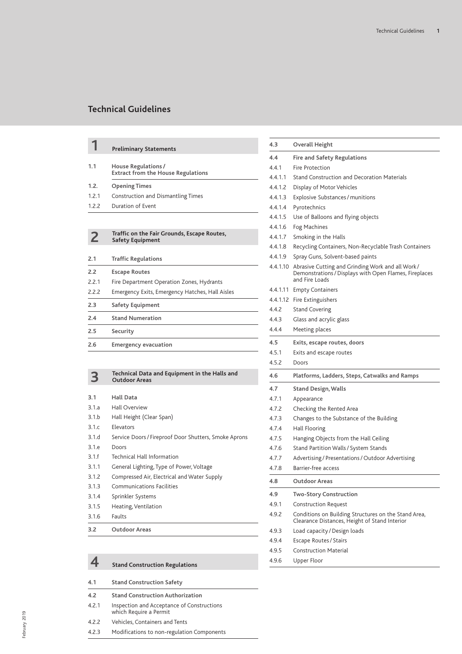|       | <b>Preliminary Statements</b>                                          |
|-------|------------------------------------------------------------------------|
| 1.1   | House Regulations/<br><b>Extract from the House Regulations</b>        |
| 1.2.  | <b>Opening Times</b>                                                   |
| 1.2.1 | Construction and Dismantling Times                                     |
| 1.2.2 | Duration of Event                                                      |
|       |                                                                        |
| 2     | Traffic on the Fair Grounds, Escape Routes,<br><b>Safety Equipment</b> |
| 2.1   | <b>Traffic Regulations</b>                                             |
| 2.2   | <b>Escape Routes</b>                                                   |
| 2.2.1 | Fire Department Operation Zones, Hydrants                              |
| 2.2.2 | Emergency Exits, Emergency Hatches, Hall Aisles                        |
| 2.3   | <b>Safety Equipment</b>                                                |
| 2.4   | <b>Stand Numeration</b>                                                |
| 2.5   | Security                                                               |
| 2.6   | <b>Emergency evacuation</b>                                            |
|       |                                                                        |
|       |                                                                        |

|       | Technical Data and Equipment in the Halls and<br><b>Outdoor Areas</b> |
|-------|-----------------------------------------------------------------------|
|       |                                                                       |
| 3.1   | Hall Data                                                             |
| 3.1.a | <b>Hall Overview</b>                                                  |
| 3.1.b | Hall Height (Clear Span)                                              |
| 3.1c  | <b>Flevators</b>                                                      |
| 3.1.d | Service Doors / Fireproof Door Shutters, Smoke Aprons                 |
| 3.1.e | Doors                                                                 |
| 3.1.f | <b>Technical Hall Information</b>                                     |
| 3.1.1 | General Lighting, Type of Power, Voltage                              |
| 3.1.2 | Compressed Air, Electrical and Water Supply                           |
| 3.1.3 | <b>Communications Facilities</b>                                      |
| 3.1.4 | Sprinkler Systems                                                     |
| 3.1.5 | Heating, Ventilation                                                  |
| 3.1.6 | Faults                                                                |
| 3.2   | <b>Outdoor Areas</b>                                                  |

|       | <b>Stand Construction Regulations</b>                                | 4.9.6 | Upper Floor |
|-------|----------------------------------------------------------------------|-------|-------------|
| 4.1   | <b>Stand Construction Safety</b>                                     |       |             |
| 4.2   | <b>Stand Construction Authorization</b>                              |       |             |
| 4.2.1 | Inspection and Acceptance of Constructions<br>which Require a Permit |       |             |
| 4.2.2 | <b>Vehicles. Containers and Tents</b>                                |       |             |
| 4.2.3 | Modifications to non-regulation Components                           |       |             |
|       |                                                                      |       |             |

| 4.3      | <b>Overall Height</b>                                                                                                                 |
|----------|---------------------------------------------------------------------------------------------------------------------------------------|
| 4.4      | <b>Fire and Safety Regulations</b>                                                                                                    |
| 4.4.1    | Fire Protection                                                                                                                       |
| 4.4.1.1  | <b>Stand Construction and Decoration Materials</b>                                                                                    |
| 4.4.1.2  | Display of Motor Vehicles                                                                                                             |
| 4.4.1.3  | Explosive Substances / munitions                                                                                                      |
| 4.4.1.4  | Pyrotechnics                                                                                                                          |
| 4.4.1.5  | Use of Balloons and flying objects                                                                                                    |
| 4.4.1.6  | Fog Machines                                                                                                                          |
| 4.4.1.7  | Smoking in the Halls                                                                                                                  |
| 4.4.1.8  | Recycling Containers, Non-Recyclable Trash Containers                                                                                 |
| 4.4.1.9  | Spray Guns, Solvent-based paints                                                                                                      |
|          | 4.4.1.10 Abrasive Cutting and Grinding Work and all Work/<br>Demonstrations / Displays with Open Flames, Fireplaces<br>and Fire Loads |
| 4.4.1.11 | <b>Empty Containers</b>                                                                                                               |
|          | 4.4.1.12 Fire Extinguishers                                                                                                           |
| 4.4.2    | <b>Stand Covering</b>                                                                                                                 |
| 4.4.3    | Glass and acrylic glass                                                                                                               |
| 4.4.4    | Meeting places                                                                                                                        |
| 4.5      | Exits, escape routes, doors                                                                                                           |
| 4.5.1    | Exits and escape routes                                                                                                               |
| 4.5.2    | Doors                                                                                                                                 |
| 4.6      | Platforms, Ladders, Steps, Catwalks and Ramps                                                                                         |
| 4.7      | Stand Design, Walls                                                                                                                   |
| 4.7.1    | Appearance                                                                                                                            |
| 4.7.2    | Checking the Rented Area                                                                                                              |
| 4.7.3    | Changes to the Substance of the Building                                                                                              |
| 4.7.4    | Hall Flooring                                                                                                                         |
| 4.7.5    | Hanging Objects from the Hall Ceiling                                                                                                 |
| 4.7.6    | Stand Partition Walls / System Stands                                                                                                 |
| 4.7.7    | Advertising / Presentations / Outdoor Advertising                                                                                     |
| 4.7.8    | <b>Barrier-free access</b>                                                                                                            |
| 4.8      | <b>Outdoor Areas</b>                                                                                                                  |
| 4.9      | <b>Two-Story Construction</b>                                                                                                         |
| 4.9.1    | <b>Construction Request</b>                                                                                                           |
| 4.9.2    | Conditions on Building Structures on the Stand Area,<br>Clearance Distances, Height of Stand Interior                                 |
| 4.9.3    | Load capacity / Design loads                                                                                                          |
| 4.9.4    | Escape Routes / Stairs                                                                                                                |
| 4.9.5    | <b>Construction Material</b>                                                                                                          |
| 4.9.6    | Upper Floor                                                                                                                           |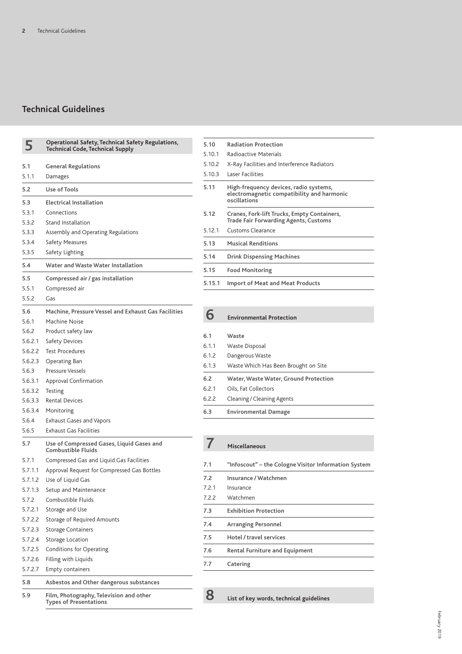| 5       | Operational Safety, Technical Safety Regulations,<br><b>Technical Code, Technical Supply</b> |
|---------|----------------------------------------------------------------------------------------------|
| 5.1     | General Regulations                                                                          |
| 5.1.1   | Damages                                                                                      |
|         |                                                                                              |
| 5.2     | Use of Tools                                                                                 |
| 5.3     | Electrical Installation                                                                      |
| 5.3.1   | Connections                                                                                  |
| 5.3.2   | <b>Stand Installation</b>                                                                    |
| 5.3.3   | Assembly and Operating Regulations                                                           |
| 5.3.4   | Safety Measures                                                                              |
| 5.3.5   | Safety Lighting                                                                              |
| 5.4     | Water and Waste Water Installation                                                           |
| 5.5     | Compressed air / gas installation                                                            |
| 5.5.1   | Compressed air                                                                               |
| 5.5.2   | Gas                                                                                          |
| 5.6     | Machine, Pressure Vessel and Exhaust Gas Facilities                                          |
| 5.6.1   | Machine Noise                                                                                |
| 5.6.2   | Product safety law                                                                           |
| 5.6.2.1 | <b>Safety Devices</b>                                                                        |
| 5.6.2.2 | <b>Test Procedures</b>                                                                       |
| 5.6.2.3 | Operating Ban                                                                                |
| 5.6.3   | Pressure Vessels                                                                             |
| 5.6.3.1 | Approval Confirmation                                                                        |
| 5.6.3.2 | Testing                                                                                      |
| 5.6.3.3 | Rental Devices                                                                               |
| 5.6.3.4 | Monitoring                                                                                   |
| 5.6.4   | <b>Exhaust Gases and Vapors</b>                                                              |
| 5.6.5   | <b>Exhaust Gas Facilities</b>                                                                |
| 5.7     | Use of Compressed Gases, Liquid Gases and<br><b>Combustible Fluids</b>                       |
| 5.7.1   | Compressed Gas and Liquid Gas Facilities                                                     |
| 5.7.1.1 | Approval Request for Compressed Gas Bottles                                                  |
| 5.7.1.2 | Use of Liquid Gas                                                                            |
| 5.7.1.3 | Setup and Maintenance                                                                        |
| 5.7.2   | Combustible Fluids                                                                           |
| 5.7.2.1 | Storage and Use                                                                              |
| 5.7.2.2 | Storage of Required Amounts                                                                  |
| 5.7.2.3 | <b>Storage Containers</b>                                                                    |
| 5.7.2.4 | Storage Location                                                                             |
| 5.7.2.5 | Conditions for Operating                                                                     |
| 5.7.2.6 | Filling with Liquids                                                                         |
| 5.7.2.7 | <b>Empty containers</b>                                                                      |
| 5.8     | Asbestos and Other dangerous substances                                                      |
| 5.9     | Film, Photography, Television and other<br><b>Types of Presentations</b>                     |

| 5.10   | <b>Radiation Protection</b>                                                                          |  |  |  |
|--------|------------------------------------------------------------------------------------------------------|--|--|--|
| 5.10.1 | Radioactive Materials                                                                                |  |  |  |
| 5.10.2 | X-Ray Facilities and Interference Radiators                                                          |  |  |  |
| 5.10.3 | Laser Facilities                                                                                     |  |  |  |
| 5.11   | High-frequency devices, radio systems,<br>electromagnetic compatibility and harmonic<br>oscillations |  |  |  |
| 5.12   | Cranes, Fork-lift Trucks, Empty Containers,<br><b>Trade Fair Forwarding Agents, Customs</b>          |  |  |  |
| 5.12.1 | Customs Clearance                                                                                    |  |  |  |
| 5.13   | <b>Musical Renditions</b>                                                                            |  |  |  |
| 5.14   | <b>Drink Dispensing Machines</b>                                                                     |  |  |  |
| 5.15   | <b>Food Monitoring</b>                                                                               |  |  |  |
| 5.15.1 | <b>Import of Meat and Meat Products</b>                                                              |  |  |  |

| 6.3   | <b>Environmental Damage</b>           |
|-------|---------------------------------------|
| 6.2.2 | Cleaning / Cleaning Agents            |
| 6.2.1 | Oils, Fat Collectors                  |
| 6.2   | Water, Waste Water, Ground Protection |
| 6.1.3 | Waste Which Has Been Brought on Site  |
| 6.1.2 | Dangerous Waste                       |
| 6.1.1 | Waste Disposal                        |
| 6.1   | Waste                                 |
|       |                                       |

**6 Environmental Protection**

| 7.1   | "Infoscout" – the Cologne Visitor Information System |
|-------|------------------------------------------------------|
| 7.2   | Insurance / Watchmen                                 |
| 7.2.1 | Insurance                                            |
| 7.2.2 | Watchmen                                             |
| 7.3   | <b>Exhibition Protection</b>                         |
| 7.4   | <b>Arranging Personnel</b>                           |
| 7.5   | Hotel / travel services                              |
| 7.6   | <b>Rental Furniture and Equipment</b>                |
| 7.7   | Catering                                             |

**8 List of key words, technical guidelines**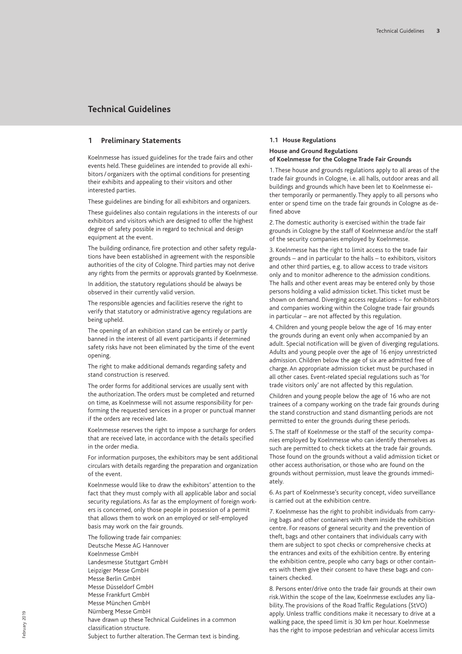## **1 Preliminary Statements**

Koelnmesse has issued guidelines for the trade fairs and other events held. These guidelines are intended to provide all exhibitors/ organizers with the optimal conditions for presenting their exhibits and appealing to their visitors and other interested parties.

These guidelines are binding for all exhibitors and organizers.

These guidelines also contain regulations in the interests of our exhibitors and visitors which are designed to offer the highest degree of safety possible in regard to technical and design equipment at the event.

The building ordinance, fire protection and other safety regulations have been established in agreement with the responsible authorities of the city of Cologne. Third parties may not derive any rights from the permits or approvals granted by Koelnmesse.

In addition, the statutory regulations should be always be observed in their currently valid version.

The responsible agencies and facilities reserve the right to verify that statutory or administrative agency regulations are being upheld.

The opening of an exhibition stand can be entirely or partly banned in the interest of all event participants if determined safety risks have not been eliminated by the time of the event opening.

The right to make additional demands regarding safety and stand construction is reserved.

The order forms for additional services are usually sent with the authorization. The orders must be completed and returned on time, as Koelnmesse will not assume responsibility for performing the requested services in a proper or punctual manner if the orders are received late.

Koelnmesse reserves the right to impose a surcharge for orders that are received late, in accordance with the details specified in the order media.

For information purposes, the exhibitors may be sent additional circulars with details regarding the preparation and organization of the event.

Koelnmesse would like to draw the exhibitors' attention to the fact that they must comply with all applicable labor and social security regulations. As far as the employment of foreign workers is concerned, only those people in possession of a permit that allows them to work on an employed or self-employed basis may work on the fair grounds.

The following trade fair companies: Deutsche Messe AG Hannover Koelnmesse GmbH Landesmesse Stuttgart GmbH Leipziger Messe GmbH Messe Berlin GmbH Messe Düsseldorf GmbH Messe Frankfurt GmbH Messe München GmbH Nürnberg Messe GmbH have drawn up these Technical Guidelines in a common classification structure. Subject to further alteration. The German text is binding.

## **1.1 House Regulations**

## **House and Ground Regulations of Koelnmesse for the Cologne Trade Fair Grounds**

1. These house and grounds regulations apply to all areas of the trade fair grounds in Cologne, i.e. all halls, outdoor areas and all buildings and grounds which have been let to Koelnmesse either temporarily or permanently. They apply to all persons who enter or spend time on the trade fair grounds in Cologne as defined above

2. The domestic authority is exercised within the trade fair grounds in Cologne by the staff of Koelnmesse and/or the staff of the security companies employed by Koelnmesse.

3. Koelnmesse has the right to limit access to the trade fair grounds – and in particular to the halls – to exhibitors, visitors and other third parties, e.g. to allow access to trade visitors only and to monitor adherence to the admission conditions. The halls and other event areas may be entered only by those persons holding a valid admission ticket. This ticket must be shown on demand. Diverging access regulations – for exhibitors and companies working within the Cologne trade fair grounds in particular – are not affected by this regulation.

4. Children and young people below the age of 16 may enter the grounds during an event only when accompanied by an adult. Special notification will be given of diverging regulations. Adults and young people over the age of 16 enjoy unrestricted admission. Children below the age of six are admitted free of charge. An appropriate admission ticket must be purchased in all other cases. Event-related special regulations such as 'for trade visitors only' are not affected by this regulation.

Children and young people below the age of 16 who are not trainees of a company working on the trade fair grounds during the stand construction and stand dismantling periods are not permitted to enter the grounds during these periods.

5. The staff of Koelnmesse or the staff of the security companies employed by Koelnmesse who can identify themselves as such are permitted to check tickets at the trade fair grounds. Those found on the grounds without a valid admission ticket or other access authorisation, or those who are found on the grounds without permission, must leave the grounds immediately.

6. As part of Koelnmesse's security concept, video surveillance is carried out at the exhibition centre.

7. Koelnmesse has the right to prohibit individuals from carrying bags and other containers with them inside the exhibition centre. For reasons of general security and the prevention of theft, bags and other containers that individuals carry with them are subject to spot checks or comprehensive checks at the entrances and exits of the exhibition centre. By entering the exhibition centre, people who carry bags or other containers with them give their consent to have these bags and containers checked.

8. Persons enter/drive onto the trade fair grounds at their own risk.Within the scope of the law, Koelnmesse excludes any liability. The provisions of the Road Traffic Regulations (StVO) apply. Unless traffic conditions make it necessary to drive at a walking pace, the speed limit is 30 km per hour. Koelnmesse has the right to impose pedestrian and vehicular access limits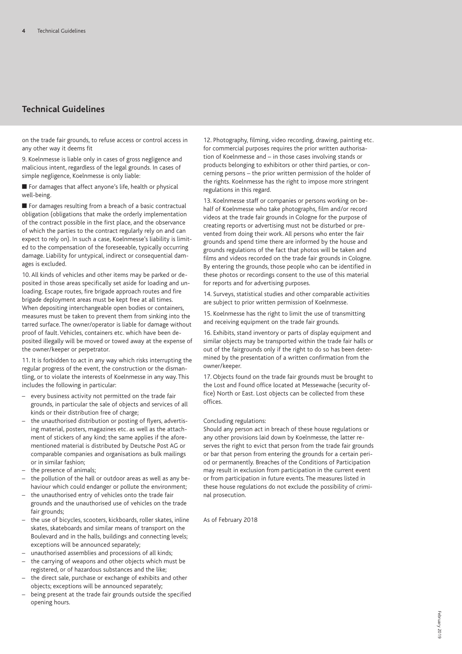on the trade fair grounds, to refuse access or control access in any other way it deems fit

9. Koelnmesse is liable only in cases of gross negligence and malicious intent, regardless of the legal grounds. In cases of simple negligence, Koelnmesse is only liable:

■ For damages that affect anyone's life, health or physical well-being.

■ For damages resulting from a breach of a basic contractual obligation (obligations that make the orderly implementation of the contract possible in the first place, and the observance of which the parties to the contract regularly rely on and can expect to rely on). In such a case, Koelnmesse's liability is limited to the compensation of the foreseeable, typically occurring damage. Liability for untypical, indirect or consequential damages is excluded.

10. All kinds of vehicles and other items may be parked or deposited in those areas specifically set aside for loading and unloading. Escape routes, fire brigade approach routes and fire brigade deployment areas must be kept free at all times. When depositing interchangeable open bodies or containers, measures must be taken to prevent them from sinking into the tarred surface. The owner/operator is liable for damage without proof of fault.Vehicles, containers etc. which have been deposited illegally will be moved or towed away at the expense of the owner/keeper or perpetrator.

11. It is forbidden to act in any way which risks interrupting the regular progress of the event, the construction or the dismantling, or to violate the interests of Koelnmesse in any way. This includes the following in particular:

- every business activity not permitted on the trade fair grounds, in particular the sale of objects and services of all kinds or their distribution free of charge;
- the unauthorised distribution or posting of flyers, advertising material, posters, magazines etc. as well as the attachment of stickers of any kind; the same applies if the aforementioned material is distributed by Deutsche Post AG or comparable companies and organisations as bulk mailings or in similar fashion;
- the presence of animals;
- the pollution of the hall or outdoor areas as well as any behaviour which could endanger or pollute the environment;
- the unauthorised entry of vehicles onto the trade fair grounds and the unauthorised use of vehicles on the trade fair grounds;
- the use of bicycles, scooters, kickboards, roller skates, inline skates, skateboards and similar means of transport on the Boulevard and in the halls, buildings and connecting levels; exceptions will be announced separately;
- unauthorised assemblies and processions of all kinds;
- the carrying of weapons and other objects which must be registered, or of hazardous substances and the like;
- the direct sale, purchase or exchange of exhibits and other objects; exceptions will be announced separately;
- being present at the trade fair grounds outside the specified opening hours.

12. Photography, filming, video recording, drawing, painting etc. for commercial purposes requires the prior written authorisation of Koelnmesse and – in those cases involving stands or products belonging to exhibitors or other third parties, or concerning persons – the prior written permission of the holder of the rights. Koelnmesse has the right to impose more stringent regulations in this regard.

13. Koelnmesse staff or companies or persons working on behalf of Koelnmesse who take photographs, film and/or record videos at the trade fair grounds in Cologne for the purpose of creating reports or advertising must not be disturbed or prevented from doing their work. All persons who enter the fair grounds and spend time there are informed by the house and grounds regulations of the fact that photos will be taken and films and videos recorded on the trade fair grounds in Cologne. By entering the grounds, those people who can be identified in these photos or recordings consent to the use of this material for reports and for advertising purposes.

14. Surveys, statistical studies and other comparable activities are subject to prior written permission of Koelnmesse.

15. Koelnmesse has the right to limit the use of transmitting and receiving equipment on the trade fair grounds.

16. Exhibits, stand inventory or parts of display equipment and similar objects may be transported within the trade fair halls or out of the fairgrounds only if the right to do so has been determined by the presentation of a written confirmation from the owner/keeper.

17. Objects found on the trade fair grounds must be brought to the Lost and Found office located at Messewache (security office) North or East. Lost objects can be collected from these offices.

## Concluding regulations:

Should any person act in breach of these house regulations or any other provisions laid down by Koelnmesse, the latter reserves the right to evict that person from the trade fair grounds or bar that person from entering the grounds for a certain period or permanently. Breaches of the Conditions of Participation may result in exclusion from participation in the current event or from participation in future events. The measures listed in these house regulations do not exclude the possibility of criminal prosecution.

As of February 2018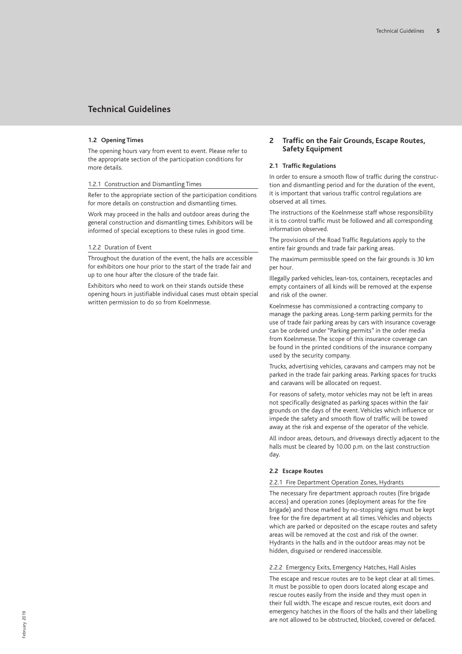## **1.2 Opening Times**

The opening hours vary from event to event. Please refer to the appropriate section of the participation conditions for more details.

#### 1.2.1 Construction and Dismantling Times

Refer to the appropriate section of the participation conditions for more details on construction and dismantling times.

Work may proceed in the halls and outdoor areas during the general construction and dismantling times. Exhibitors will be informed of special exceptions to these rules in good time.

#### 1.2.2 Duration of Event

Throughout the duration of the event, the halls are accessible for exhibitors one hour prior to the start of the trade fair and up to one hour after the closure of the trade fair.

Exhibitors who need to work on their stands outside these opening hours in justifiable individual cases must obtain special written permission to do so from Koelnmesse.

## **2 Traffic on the Fair Grounds, Escape Routes, Safety Equipment**

## **2.1 Traffic Regulations**

In order to ensure a smooth flow of traffic during the construction and dismantling period and for the duration of the event, it is important that various traffic control regulations are observed at all times.

The instructions of the Koelnmesse staff whose responsibility it is to control traffic must be followed and all corresponding information observed.

The provisions of the Road Traffic Regulations apply to the entire fair grounds and trade fair parking areas.

The maximum permissible speed on the fair grounds is 30 km per hour.

Illegally parked vehicles, lean-tos, containers, receptacles and empty containers of all kinds will be removed at the expense and risk of the owner.

Koelnmesse has commissioned a contracting company to manage the parking areas. Long-term parking permits for the use of trade fair parking areas by cars with insurance coverage can be ordered under "Parking permits" in the order media from Koelnmesse. The scope of this insurance coverage can be found in the printed conditions of the insurance company used by the security company.

Trucks, advertising vehicles, caravans and campers may not be parked in the trade fair parking areas. Parking spaces for trucks and caravans will be allocated on request.

For reasons of safety, motor vehicles may not be left in areas not specifically designated as parking spaces within the fair grounds on the days of the event.Vehicles which influence or impede the safety and smooth flow of traffic will be towed away at the risk and expense of the operator of the vehicle.

All indoor areas, detours, and driveways directly adjacent to the halls must be cleared by 10.00 p.m. on the last construction day.

## **2.2 Escape Routes**

## 2.2.1 Fire Department Operation Zones, Hydrants

The necessary fire department approach routes (fire brigade access) and operation zones (deployment areas for the fire brigade) and those marked by no-stopping signs must be kept free for the fire department at all times.Vehicles and objects which are parked or deposited on the escape routes and safety areas will be removed at the cost and risk of the owner. Hydrants in the halls and in the outdoor areas may not be hidden, disguised or rendered inaccessible.

### 2.2.2 Emergency Exits, Emergency Hatches, Hall Aisles

The escape and rescue routes are to be kept clear at all times. It must be possible to open doors located along escape and rescue routes easily from the inside and they must open in their full width. The escape and rescue routes, exit doors and emergency hatches in the floors of the halls and their labelling are not allowed to be obstructed, blocked, covered or defaced.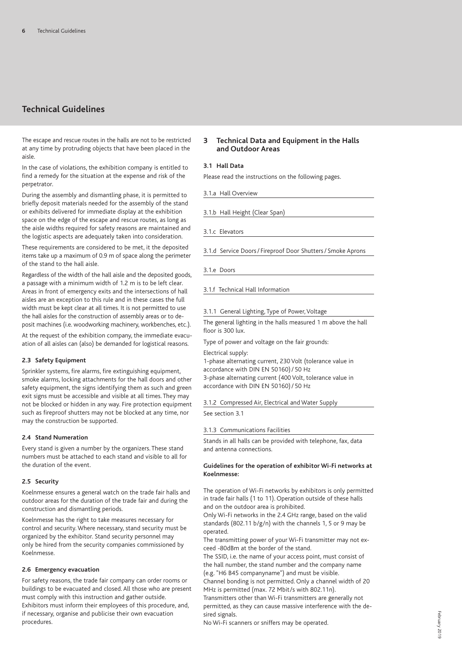The escape and rescue routes in the halls are not to be restricted at any time by protruding objects that have been placed in the aisle.

In the case of violations, the exhibition company is entitled to find a remedy for the situation at the expense and risk of the perpetrator.

During the assembly and dismantling phase, it is permitted to briefly deposit materials needed for the assembly of the stand or exhibits delivered for immediate display at the exhibition space on the edge of the escape and rescue routes, as long as the aisle widths required for safety reasons are maintained and the logistic aspects are adequately taken into consideration.

These requirements are considered to be met, it the deposited items take up a maximum of 0.9 m of space along the perimeter of the stand to the hall aisle.

Regardless of the width of the hall aisle and the deposited goods, a passage with a minimum width of 1.2 m is to be left clear. Areas in front of emergency exits and the intersections of hall aisles are an exception to this rule and in these cases the full width must be kept clear at all times. It is not permitted to use the hall aisles for the construction of assembly areas or to deposit machines (i.e. woodworking machinery, workbenches, etc.).

At the request of the exhibition company, the immediate evacuation of all aisles can (also) be demanded for logistical reasons.

## **2.3 Safety Equipment**

Sprinkler systems, fire alarms, fire extinguishing equipment, smoke alarms, locking attachments for the hall doors and other safety equipment, the signs identifying them as such and green exit signs must be accessible and visible at all times. They may not be blocked or hidden in any way. Fire protection equipment such as fireproof shutters may not be blocked at any time, nor may the construction be supported.

## **2.4 Stand Numeration**

Every stand is given a number by the organizers. These stand numbers must be attached to each stand and visible to all for the duration of the event.

## **2.5 Security**

Koelnmesse ensures a general watch on the trade fair halls and outdoor areas for the duration of the trade fair and during the construction and dismantling periods.

Koelnmesse has the right to take measures necessary for control and security. Where necessary, stand security must be organized by the exhibitor. Stand security personnel may only be hired from the security companies commissioned by Koelnmesse.

## **2.6 Emergency evacuation**

For safety reasons, the trade fair company can order rooms or buildings to be evacuated and closed. All those who are present must comply with this instruction and gather outside. Exhibitors must inform their employees of this procedure, and, if necessary, organise and publicise their own evacuation procedures.

## **3 Technical Data and Equipment in the Halls and Outdoor Areas**

## **3.1 Hall Data**

Please read the instructions on the following pages.

3.1.a Hall Overview

3.1.b Hall Height (Clear Span)

3.1.c Elevators

3.1.d Service Doors/ Fireproof Door Shutters/ Smoke Aprons

3.1.e Doors

3.1.f Technical Hall Information

### 3.1.1 General Lighting, Type of Power, Voltage

The general lighting in the halls measured 1 m above the hall floor is 300 lux.

Type of power and voltage on the fair grounds:

Electrical supply:

1-phase alternating current, 230 Volt (tolerance value in accordance with DIN EN 50160)/ 50 Hz 3-phase alternating current (400 Volt, tolerance value in accordance with DIN EN 50160)/ 50 Hz

3.1.2 Compressed Air, Electrical and Water Supply

See section 3.1

## 3.1.3 Communications Facilities

Stands in all halls can be provided with telephone, fax, data and antenna connections.

## **Guidelines for the operation of exhibitor Wi-Fi networks at Koelnmesse:**

The operation of Wi-Fi networks by exhibitors is only permitted in trade fair halls (1 to 11). Operation outside of these halls and on the outdoor area is prohibited.

Only Wi-Fi networks in the 2.4 GHz range, based on the valid standards (802.11 b/g/n) with the channels 1, 5 or 9 may be operated.

The transmitting power of your Wi-Fi transmitter may not exceed -80dBm at the border of the stand.

The SSID, i.e. the name of your access point, must consist of the hall number, the stand number and the company name (e.g. "H6 B45 companyname") and must be visible.

Channel bonding is not permitted. Only a channel width of 20 MHz is permitted (max. 72 Mbit/s with 802.11n).

Transmitters other than Wi-Fi transmitters are generally not permitted, as they can cause massive interference with the desired signals.

No Wi-Fi scanners or sniffers may be operated.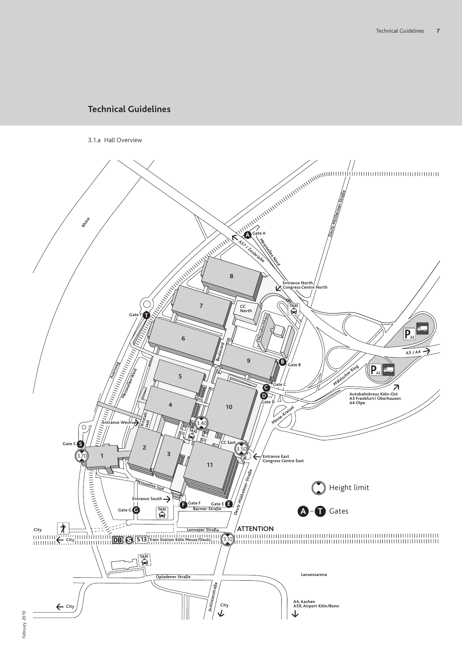3.1.a Hall Overview

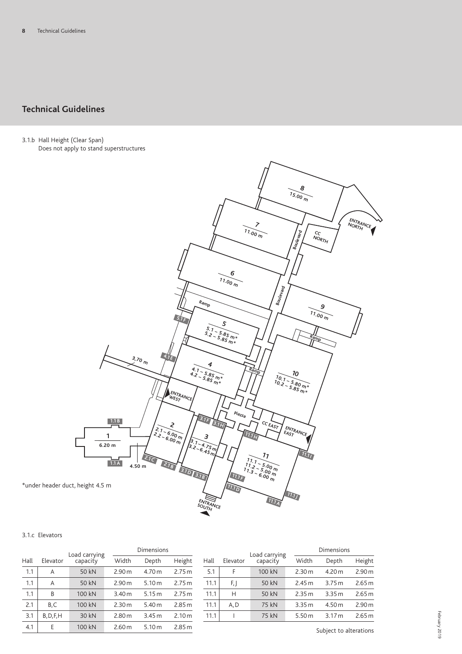3.1.b Hall Height (Clear Span) Does not apply to stand superstructures



## 3.1.c Elevators

|      |            | Load carrying |                   | Dimensions        |                   |
|------|------------|---------------|-------------------|-------------------|-------------------|
| Hall | Elevator   | capacity      | Width             | Depth             | Height            |
| 1.1  | A          | 50 kN         | 2.90 <sub>m</sub> | 4.70 <sub>m</sub> | 2.75m             |
| 1.1  | A          | 50 kN         | 2.90 <sub>m</sub> | 5.10 m            | 2.75m             |
| 1.1  | B          | 100 kN        | 3.40 <sub>m</sub> | 5.15m             | 2.75m             |
| 2.1  | B,C        | 100 kN        | 2.30 m            | 5.40 m            | 2.85m             |
| 3.1  | B, D, F, H | 30 kN         | 2.80 m            | 3.45m             | 2.10 <sub>m</sub> |
| 4.1  | Е          | 100 kN        | 2.60 m            | 5.10 m            | 2.85 m            |

|      |          | Load carrying | Dimensions |                   |                   |
|------|----------|---------------|------------|-------------------|-------------------|
| Hall | Elevator | capacity      | Width      | Depth             | Height            |
| 5.1  | F        | 100 kN        | 2.30 m     | 4.20 m            | 2.90 <sub>m</sub> |
| 11.1 | F, I     | 50 kN         | 2.45 m     | 3.75m             | 2.65 m            |
| 11.1 | Н        | 50 kN         | 2.35 m     | 3.35 m            | 2.65 m            |
| 11.1 | A, D     | 75 kN         | 3.35 m     | 4.50 m            | 2.90 <sub>m</sub> |
| 11.1 |          | 75 kN         | 5.50 m     | 3.17 <sub>m</sub> | 2.65m             |
|      |          |               |            |                   |                   |

Subject to alterations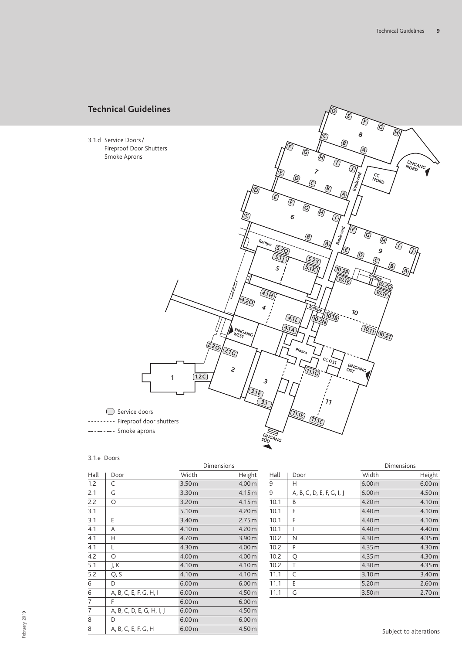

## 3.1.e Doors

|      |                           | Dimensions        |                   |
|------|---------------------------|-------------------|-------------------|
| Hall | Door                      | Width             | Height            |
| 1.2  | C                         | 3.50 <sub>m</sub> | 4.00 m            |
| 2.1  | G                         | 3.30 <sub>m</sub> | 4.15m             |
| 2.2  | O                         | 3.20 <sub>m</sub> | 4.15m             |
| 3.1  |                           | 5.10 m            | 4.20 m            |
| 3.1  | E                         | 3.40 <sub>m</sub> | 2.75m             |
| 4.1  | A                         | 4.10 m            | 4.20 m            |
| 4.1  | Н                         | 4.70 m            | 3.90 <sub>m</sub> |
| 4.1  | L                         | 4.30 m            | 4.00 m            |
| 4.2  | O                         | 4.00 m            | 4.00 m            |
| 5.1  | J, K                      | 4.10 m            | 4.10 m            |
| 5.2  | Q, S                      | 4.10 m            | 4.10 m            |
| 6    | D                         | 6.00 m            | 6.00 <sub>m</sub> |
| 6    | A, B, C, E, F, G, H, I    | 6.00 <sub>m</sub> | 4.50 m            |
| 7    | F                         | 6.00 <sub>m</sub> | 6.00 <sub>m</sub> |
| 7    | A, B, C, D, E, G, H, I, J | 6.00 m            | 4.50 m            |
| 8    | D                         | 6.00 <sub>m</sub> | 6.00 <sub>m</sub> |
| 8    | A, B, C, E, F, G, H       | 6.00 m            | 4.50 m            |

|                           |                   | Dimensions        |
|---------------------------|-------------------|-------------------|
| Door                      | Width             | Height            |
| н                         | 6.00 m            | 6.00 <sub>m</sub> |
| A, B, C, D, E, F, G, I, J | 6.00 m            | 4.50 <sub>m</sub> |
| B                         | 4.20 m            | 4.10 m            |
| E                         | 4.40 m            | 4.10 m            |
| F                         | 4.40 m            | 4.10 m            |
| I                         | 4.40 <sub>m</sub> | 4.40 m            |
| N                         | 4.30 m            | 4.35 m            |
| P                         | 4.35 m            | 4.30 m            |
| Q                         | 4.35 m            | 4.30 m            |
| Τ                         | 4.30 m            | 4.35m             |
| C                         | 3.10 m            | 3.40 <sub>m</sub> |
| E                         | 5.20 <sub>m</sub> | 2.60 <sub>m</sub> |
| G                         | 3.50 <sub>m</sub> | 2.70 <sub>m</sub> |
|                           |                   |                   |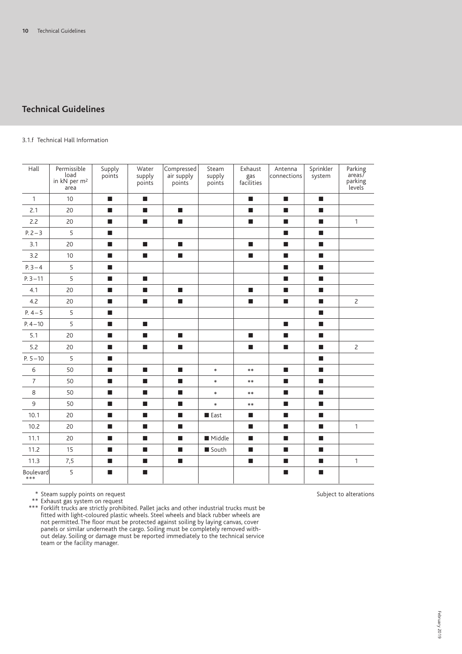## 3.1.f Technical Hall Information

| Hall               | Permissible<br>load<br>in kN per m <sup>2</sup><br>area | Supply<br>points            | Water<br>supply<br>points   | Compressed<br>air supply<br>points | Steam<br>supply<br>points | Exhaust<br>gas<br>facilities | Antenna<br>connections      | Sprinkler<br>system         | Parking<br>$area\zeta$<br>parking<br>levels |
|--------------------|---------------------------------------------------------|-----------------------------|-----------------------------|------------------------------------|---------------------------|------------------------------|-----------------------------|-----------------------------|---------------------------------------------|
| $\mathbf{1}$       | 10                                                      | п                           | п                           |                                    |                           | $\blacksquare$               | п                           | п                           |                                             |
| 2.1                | 20                                                      | п                           | $\mathcal{L}_{\mathcal{A}}$ | $\overline{\phantom{a}}$           |                           | $\blacksquare$               | $\mathcal{L}_{\mathcal{A}}$ | $\mathcal{L}_{\mathcal{A}}$ |                                             |
| 2.2                | 20                                                      | <b>In</b>                   | $\mathcal{L}_{\mathcal{A}}$ | п                                  |                           | п                            | <b>In</b>                   | $\mathcal{L}_{\mathcal{A}}$ | $\mathbf{1}$                                |
| $P. 2 - 3$         | 5                                                       | $\blacksquare$              |                             |                                    |                           |                              | п                           | ш                           |                                             |
| 3.1                | 20                                                      | $\blacksquare$              | $\mathcal{L}_{\mathcal{A}}$ | $\mathcal{L}_{\mathcal{A}}$        |                           | $\mathcal{L}_{\mathcal{A}}$  | $\mathcal{L}_{\mathcal{A}}$ | $\mathcal{L}_{\mathcal{A}}$ |                                             |
| 3.2                | 10                                                      | $\blacksquare$              | $\mathcal{L}_{\mathcal{A}}$ | $\blacksquare$                     |                           | $\mathcal{L}_{\mathcal{A}}$  | п                           | $\mathcal{L}_{\mathcal{A}}$ |                                             |
| $P.3 - 4$          | 5                                                       | п                           |                             |                                    |                           |                              | <b>In</b>                   | ш                           |                                             |
| $P.3 - 11$         | 5                                                       | п                           | п                           |                                    |                           |                              | <b>In</b>                   | п                           |                                             |
| 4.1                | 20                                                      | $\blacksquare$              | П                           | $\mathcal{L}_{\mathcal{A}}$        |                           | п                            | п                           | $\mathcal{L}_{\mathcal{A}}$ |                                             |
| 4.2                | 20                                                      | п                           | $\overline{\phantom{a}}$    | $\blacksquare$                     |                           | $\blacksquare$               | $\mathcal{L}_{\mathcal{A}}$ | $\blacksquare$              | $\overline{c}$                              |
| $P. 4 - 5$         | 5                                                       | $\blacksquare$              |                             |                                    |                           |                              |                             | $\mathbf{r}$                |                                             |
| $P.4 - 10$         | 5                                                       | п                           | п                           |                                    |                           |                              | п                           | п                           |                                             |
| 5.1                | 20                                                      | $\mathcal{L}_{\mathcal{A}}$ | $\mathcal{L}_{\mathcal{A}}$ | $\mathcal{L}_{\mathcal{A}}$        |                           | $\mathcal{L}_{\mathcal{A}}$  | $\mathcal{L}_{\mathcal{A}}$ | $\overline{\phantom{a}}$    |                                             |
| 5.2                | 20                                                      | п                           | $\mathcal{L}_{\mathcal{A}}$ | п                                  |                           | п                            | $\mathcal{L}_{\mathcal{A}}$ | $\mathcal{L}_{\mathcal{A}}$ | $\overline{c}$                              |
| $P. 5 - 10$        | 5                                                       | $\blacksquare$              |                             |                                    |                           |                              |                             | ш                           |                                             |
| 6                  | 50                                                      | п                           | $\mathcal{L}_{\mathcal{A}}$ | $\blacksquare$                     | $\ast$                    | $**$                         | п                           | п                           |                                             |
| $\overline{7}$     | 50                                                      | $\blacksquare$              | $\blacksquare$              | ш                                  | $\ast$                    | $**$                         | п                           | ш                           |                                             |
| 8                  | 50                                                      | п                           | п                           | $\mathcal{L}_{\mathcal{A}}$        | $\ast$                    | $**$                         | п                           | $\mathcal{L}_{\mathcal{A}}$ |                                             |
| 9                  | 50                                                      | п                           | <b>In</b>                   | п                                  | $\ast$                    | $***$                        | $\blacksquare$              | п                           |                                             |
| 10.1               | 20                                                      | $\blacksquare$              | П                           | п                                  | <b>East</b>               | п                            | п                           | ш                           |                                             |
| 10.2               | 20                                                      | п                           | $\mathcal{L}_{\mathcal{A}}$ | $\mathcal{L}_{\mathcal{A}}$        |                           | $\blacksquare$               | $\mathcal{L}_{\mathcal{A}}$ | $\mathcal{L}_{\mathcal{A}}$ | $\mathbf{1}$                                |
| 11.1               | 20                                                      | п                           | $\mathcal{L}_{\mathcal{A}}$ | п                                  | Middle                    | п                            | п                           | $\mathcal{L}_{\mathcal{A}}$ |                                             |
| 11.2               | 15                                                      | $\blacksquare$              | п                           | п                                  | South                     | <b>The State</b>             | п                           | ш                           |                                             |
| 11.3               | 7,5                                                     | $\blacksquare$              | $\blacksquare$              | $\mathcal{L}_{\mathcal{A}}$        |                           | $\mathcal{L}_{\mathcal{A}}$  | $\mathcal{L}_{\mathcal{A}}$ | $\blacksquare$              | $\mathbf{1}$                                |
| Boulevard<br>$***$ | 5                                                       | $\blacksquare$              | п                           |                                    |                           |                              | п                           | $\mathcal{L}_{\mathcal{A}}$ |                                             |

\* Subject to alterations Steam supply points on request

\*\* Exhaust gas system on request

\*\*\* Forklift trucks are strictly prohibited. Pallet jacks and other industrial trucks must be fitted with light-coloured plastic wheels. Steel wheels and black rubber wheels are not permitted. The floor must be protected against soiling by laying canvas, cover panels or similar underneath the cargo. Soiling must be completely removed without delay. Soiling or damage must be reported immediately to the technical service team or the facility manager.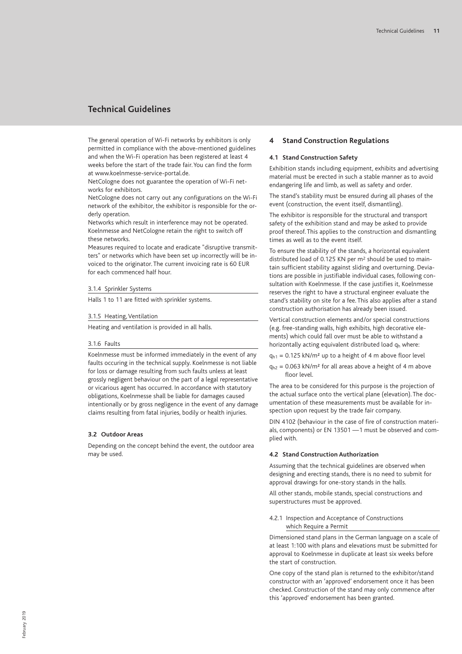The general operation of Wi-Fi networks by exhibitors is only permitted in compliance with the above-mentioned guidelines and when the Wi-Fi operation has been registered at least 4 weeks before the start of the trade fair.You can find the form at www.koelnmesse-service-portal.de.

NetCologne does not guarantee the operation of Wi-Fi networks for exhibitors.

NetCologne does not carry out any configurations on the Wi-Fi network of the exhibitor, the exhibitor is responsible for the orderly operation.

Networks which result in interference may not be operated. Koelnmesse and NetCologne retain the right to switch off these networks.

Measures required to locate and eradicate "disruptive transmitters" or networks which have been set up incorrectly will be invoiced to the originator. The current invoicing rate is 60 EUR for each commenced half hour.

#### 3.1.4 Sprinkler Systems

Halls 1 to 11 are fitted with sprinkler systems.

#### 3.1.5 Heating, Ventilation

Heating and ventilation is provided in all halls.

#### 3.1.6 Faults

Koelnmesse must be informed immediately in the event of any faults occuring in the technical supply. Koelnmesse is not liable for loss or damage resulting from such faults unless at least grossly negligent behaviour on the part of a legal representative or vicarious agent has occurred. In accordance with statutory obligations, Koelnmesse shall be liable for damages caused intentionally or by gross negligence in the event of any damage claims resulting from fatal injuries, bodily or health injuries.

## **3.2 Outdoor Areas**

Depending on the concept behind the event, the outdoor area may be used.

## **4 Stand Construction Regulations**

## **4.1 Stand Construction Safety**

Exhibition stands including equipment, exhibits and advertising material must be erected in such a stable manner as to avoid endangering life and limb, as well as safety and order.

The stand's stability must be ensured during all phases of the event (construction, the event itself, dismantling).

The exhibitor is responsible for the structural and transport safety of the exhibition stand and may be asked to provide proof thereof. This applies to the construction and dismantling times as well as to the event itself.

To ensure the stability of the stands, a horizontal equivalent distributed load of 0.125 KN per m2 should be used to maintain sufficient stability against sliding and overturning. Deviations are possible in justifiable individual cases, following consultation with Koelnmesse. If the case justifies it, Koelnmesse reserves the right to have a structural engineer evaluate the stand's stability on site for a fee. This also applies after a stand construction authorisation has already been issued.

Vertical construction elements and/or special constructions (e.g. free-standing walls, high exhibits, high decorative elements) which could fall over must be able to withstand a horizontally acting equivalent distributed load  $q_h$  where:

- $q_{h1} = 0.125$  kN/m<sup>2</sup> up to a height of 4 m above floor level
- $q_{h2} = 0.063$  kN/m<sup>2</sup> for all areas above a height of 4 m above floor level.

The area to be considered for this purpose is the projection of the actual surface onto the vertical plane (elevation). The documentation of these measurements must be available for inspection upon request by the trade fair company.

DIN 4102 (behaviour in the case of fire of construction materials, components) or EN 13501 —1 must be observed and complied with.

### **4.2 Stand Construction Authorization**

Assuming that the technical guidelines are observed when designing and erecting stands, there is no need to submit for approval drawings for one-story stands in the halls.

All other stands, mobile stands, special constructions and superstructures must be approved.

## 4.2.1 Inspection and Acceptance of Constructions which Require a Permit

Dimensioned stand plans in the German language on a scale of at least 1:100 with plans and elevations must be submitted for approval to Koelnmesse in duplicate at least six weeks before the start of construction.

One copy of the stand plan is returned to the exhibitor/stand constructor with an 'approved' endorsement once it has been checked. Construction of the stand may only commence after this 'approved' endorsement has been granted.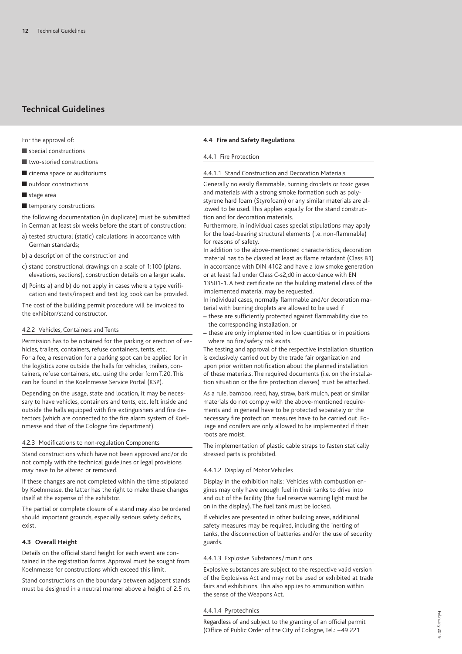For the approval of:

- $\blacksquare$  special constructions
- $\blacksquare$  two-storied constructions
- $\blacksquare$  cinema space or auditoriums
- $\blacksquare$  outdoor constructions
- $\blacksquare$  stage area
- $\blacksquare$  temporary constructions

the following documentation (in duplicate) must be submitted in German at least six weeks before the start of construction:

- a) tested structural (static) calculations in accordance with German standards;
- b) a description of the construction and
- c) stand constructional drawings on a scale of 1:100 (plans, elevations, sections), construction details on a larger scale.
- d) Points a) and b) do not apply in cases where a type verification and tests/inspect and test log book can be provided.

The cost of the building permit procedure will be invoiced to the exhibitor/stand constructor.

## 4.2.2 Vehicles, Containers and Tents

Permission has to be obtained for the parking or erection of vehicles, trailers, containers, refuse containers, tents, etc. For a fee, a reservation for a parking spot can be applied for in the logistics zone outside the halls for vehicles, trailers, containers, refuse containers, etc. using the order form T.20. This can be found in the Koelnmesse Service Portal (KSP).

Depending on the usage, state and location, it may be necessary to have vehicles, containers and tents, etc. left inside and outside the halls equipped with fire extinguishers and fire detectors (which are connected to the fire alarm system of Koelnmesse and that of the Cologne fire department).

#### 4.2.3 Modifications to non-regulation Components

Stand constructions which have not been approved and/or do not comply with the technical guidelines or legal provisions may have to be altered or removed.

If these changes are not completed within the time stipulated by Koelnmesse, the latter has the right to make these changes itself at the expense of the exhibitor.

The partial or complete closure of a stand may also be ordered should important grounds, especially serious safety deficits, exist.

### **4.3 Overall Height**

Details on the official stand height for each event are contained in the registration forms. Approval must be sought from Koelnmesse for constructions which exceed this limit.

Stand constructions on the boundary between adjacent stands must be designed in a neutral manner above a height of 2.5 m.

### **4.4 Fire and Safety Regulations**

#### 4.4.1 Fire Protection

## 4.4.1.1 Stand Construction and Decoration Materials

Generally no easily flammable, burning droplets or toxic gases and materials with a strong smoke formation such as polystyrene hard foam (Styrofoam) or any similar materials are allowed to be used. This applies equally for the stand construction and for decoration materials.

Furthermore, in individual cases special stipulations may apply for the load-bearing structural elements (i.e. non-flammable) for reasons of safety.

In addition to the above-mentioned characteristics, decoration material has to be classed at least as flame retardant (Class B1) in accordance with DIN 4102 and have a low smoke generation or at least fall under Class C-s2,d0 in accordance with EN 13501-1. A test certificate on the building material class of the implemented material may be requested.

In individual cases, normally flammable and/or decoration material with burning droplets are allowed to be used if

- **–** these are sufficiently protected against flammability due to the corresponding installation, or
- **–** these are only implemented in low quantities or in positions where no fire/safety risk exists.

The testing and approval of the respective installation situation is exclusively carried out by the trade fair organization and upon prior written notification about the planned installation of these materials. The required documents (i.e. on the installation situation or the fire protection classes) must be attached.

As a rule, bamboo, reed, hay, straw, bark mulch, peat or similar materials do not comply with the above-mentioned requirements and in general have to be protected separately or the necessary fire protection measures have to be carried out. Foliage and conifers are only allowed to be implemented if their roots are moist.

The implementation of plastic cable straps to fasten statically stressed parts is prohibited.

### 4.4.1.2 Display of Motor Vehicles

Display in the exhibition halls: Vehicles with combustion engines may only have enough fuel in their tanks to drive into and out of the facility (the fuel reserve warning light must be on in the display). The fuel tank must be locked.

If vehicles are presented in other building areas, additional safety measures may be required, including the inerting of tanks, the disconnection of batteries and/or the use of security guards.

## 4.4.1.3 Explosive Substances/ munitions

Explosive substances are subject to the respective valid version of the Explosives Act and may not be used or exhibited at trade fairs and exhibitions. This also applies to ammunition within the sense of the Weapons Act.

#### 4.4.1.4 Pyrotechnics

Regardless of and subject to the granting of an official permit (Office of Public Order of the City of Cologne, Tel.: +49 221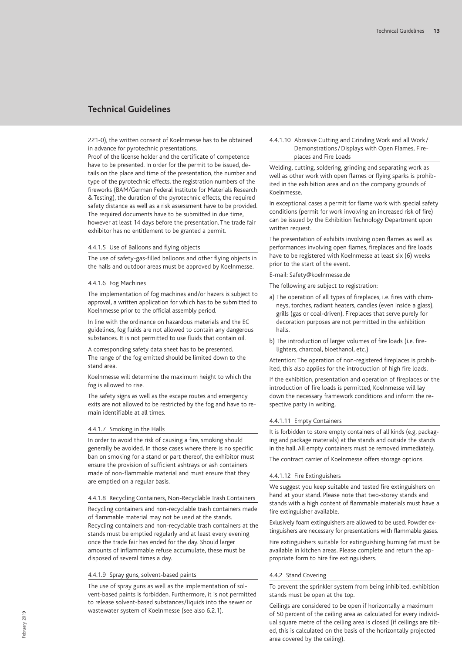221-0), the written consent of Koelnmesse has to be obtained in advance for pyrotechnic presentations.

Proof of the license holder and the certificate of competence have to be presented. In order for the permit to be issued, details on the place and time of the presentation, the number and type of the pyrotechnic effects, the registration numbers of the fireworks (BAM/German Federal Institute for Materials Research & Testing), the duration of the pyrotechnic effects, the required safety distance as well as a risk assessment have to be provided. The required documents have to be submitted in due time, however at least 14 days before the presentation. The trade fair exhibitor has no entitlement to be granted a permit.

#### 4.4.1.5 Use of Balloons and flying objects

The use of safety-gas-filled balloons and other flying objects in the halls and outdoor areas must be approved by Koelnmesse.

#### 4.4.1.6 Fog Machines

The implementation of fog machines and/or hazers is subject to approval, a written application for which has to be submitted to Koelnmesse prior to the official assembly period.

In line with the ordinance on hazardous materials and the EC guidelines, fog fluids are not allowed to contain any dangerous substances. It is not permitted to use fluids that contain oil.

A corresponding safety data sheet has to be presented. The range of the fog emitted should be limited down to the stand area.

Koelnmesse will determine the maximum height to which the fog is allowed to rise.

The safety signs as well as the escape routes and emergency exits are not allowed to be restricted by the fog and have to remain identifiable at all times.

#### 4.4.1.7 Smoking in the Halls

In order to avoid the risk of causing a fire, smoking should generally be avoided. In those cases where there is no specific ban on smoking for a stand or part thereof, the exhibitor must ensure the provision of sufficient ashtrays or ash containers made of non-flammable material and must ensure that they are emptied on a regular basis.

#### 4.4.1.8 Recycling Containers, Non-Recyclable Trash Containers

Recycling containers and non-recyclable trash containers made of flammable material may not be used at the stands. Recycling containers and non-recyclable trash containers at the stands must be emptied regularly and at least every evening once the trade fair has ended for the day. Should larger amounts of inflammable refuse accumulate, these must be disposed of several times a day.

#### 4.4.1.9 Spray guns, solvent-based paints

The use of spray guns as well as the implementation of solvent-based paints is forbidden. Furthermore, it is not permitted to release solvent-based substances/liquids into the sewer or wastewater system of Koelnmesse (see also 6.2.1).

4.4.1.10 Abrasive Cutting and Grinding Work and all Work / Demonstrations/Displays with Open Flames, Fireplaces and Fire Loads

Welding, cutting, soldering, grinding and separating work as well as other work with open flames or flying sparks is prohibited in the exhibition area and on the company grounds of Koelnmesse.

In exceptional cases a permit for flame work with special safety conditions (permit for work involving an increased risk of fire) can be issued by the Exhibition Technology Department upon written request.

The presentation of exhibits involving open flames as well as performances involving open flames, fireplaces and fire loads have to be registered with Koelnmesse at least six (6) weeks prior to the start of the event.

E-mail: Safety@koelnmesse.de

The following are subject to registration:

- a) The operation of all types of fireplaces, i.e. fires with chimneys, torches, radiant heaters, candles (even inside a glass), grills (gas or coal-driven). Fireplaces that serve purely for decoration purposes are not permitted in the exhibition halls.
- b) The introduction of larger volumes of fire loads (i.e. firelighters, charcoal, bioethanol, etc.)

Attention: The operation of non-registered fireplaces is prohibited, this also applies for the introduction of high fire loads.

If the exhibition, presentation and operation of fireplaces or the introduction of fire loads is permitted, Koelnmesse will lay down the necessary framework conditions and inform the respective party in writing.

## 4.4.1.11 Empty Containers

It is forbidden to store empty containers of all kinds (e.g. packaging and package materials) at the stands and outside the stands in the hall. All empty containers must be removed immediately.

The contract carrier of Koelnmesse offers storage options.

#### 4.4.1.12 Fire Extinguishers

We suggest you keep suitable and tested fire extinguishers on hand at your stand. Please note that two-storey stands and stands with a high content of flammable materials must have a fire extinguisher available.

Exlusively foam extinguishers are allowed to be used. Powder extinguishers are necessary for presentations with flammable gases.

Fire extinguishers suitable for extinguishing burning fat must be available in kitchen areas. Please complete and return the appropriate form to hire fire extinguishers.

## 4.4.2 Stand Covering

To prevent the sprinkler system from being inhibited, exhibition stands must be open at the top.

Ceilings are considered to be open if horizontally a maximum of 50 percent of the ceiling area as calculated for every individual square metre of the ceiling area is closed (if ceilings are tilted, this is calculated on the basis of the horizontally projected area covered by the ceiling).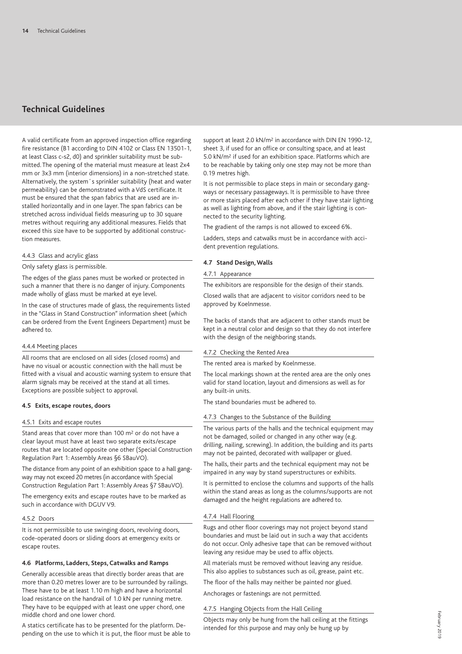A valid certificate from an approved inspection office regarding fire resistance (B1 according to DIN 4102 or Class EN 13501-1, at least Class c-s2, d0) and sprinkler suitability must be submitted. The opening of the material must measure at least 2x4 mm or 3x3 mm (interior dimensions) in a non-stretched state. Alternatively, the system´s sprinkler suitability (heat and water permeability) can be demonstrated with a VdS certificate. It must be ensured that the span fabrics that are used are installed horizontally and in one layer. The span fabrics can be stretched across individual fields measuring up to 30 square metres without requiring any additional measures. Fields that exceed this size have to be supported by additional construction measures.

## 4.4.3 Glass and acrylic glass

## Only safety glass is permissible.

The edges of the glass panes must be worked or protected in such a manner that there is no danger of injury. Components made wholly of glass must be marked at eye level.

In the case of structures made of glass, the requirements listed in the "Glass in Stand Construction" information sheet (which can be ordered from the Event Engineers Department) must be adhered to.

### 4.4.4 Meeting places

All rooms that are enclosed on all sides (closed rooms) and have no visual or acoustic connection with the hall must be fitted with a visual and acoustic warning system to ensure that alarm signals may be received at the stand at all times. Exceptions are possible subject to approval.

## **4.5 Exits, escape routes, doors**

### 4.5.1 Exits and escape routes

Stand areas that cover more than 100 m<sup>2</sup> or do not have a clear layout must have at least two separate exits/escape routes that are located opposite one other (Special Construction Regulation Part 1: Assembly Areas §6 SBauVO).

The distance from any point of an exhibition space to a hall gangway may not exceed 20 metres (in accordance with Special Construction Regulation Part 1: Assembly Areas §7 SBauVO).

The emergency exits and escape routes have to be marked as such in accordance with DGUV V9.

### 4.5.2 Doors

It is not permissible to use swinging doors, revolving doors, code-operated doors or sliding doors at emergency exits or escape routes.

#### **4.6 Platforms, Ladders, Steps, Catwalks and Ramps**

Generally accessible areas that directly border areas that are more than 0.20 metres lower are to be surrounded by railings. These have to be at least 1.10 m high and have a horizontal load resistance on the handrail of 1.0 kN per running metre. They have to be equipped with at least one upper chord, one middle chord and one lower chord.

A statics certificate has to be presented for the platform. Depending on the use to which it is put, the floor must be able to support at least 2.0 kN/m2 in accordance with DIN EN 1990-12, sheet 3, if used for an office or consulting space, and at least 5.0 kN/m2 if used for an exhibition space. Platforms which are to be reachable by taking only one step may not be more than 0.19 metres high.

It is not permissible to place steps in main or secondary gangways or necessary passageways. It is permissible to have three or more stairs placed after each other if they have stair lighting as well as lighting from above, and if the stair lighting is connected to the security lighting.

The gradient of the ramps is not allowed to exceed 6%.

Ladders, steps and catwalks must be in accordance with accident prevention regulations.

### **4.7 Stand Design,Walls**

#### 4.7.1 Appearance

The exhibitors are responsible for the design of their stands.

Closed walls that are adjacent to visitor corridors need to be approved by Koelnmesse.

The backs of stands that are adjacent to other stands must be kept in a neutral color and design so that they do not interfere with the design of the neighboring stands.

## 4.7.2 Checking the Rented Area

The rented area is marked by Koelnmesse.

The local markings shown at the rented area are the only ones valid for stand location, layout and dimensions as well as for any built-in units.

The stand boundaries must be adhered to.

## 4.7.3 Changes to the Substance of the Building

The various parts of the halls and the technical equipment may not be damaged, soiled or changed in any other way (e.g. drilling, nailing, screwing). In addition, the building and its parts may not be painted, decorated with wallpaper or glued.

The halls, their parts and the technical equipment may not be impaired in any way by stand superstructures or exhibits.

It is permitted to enclose the columns and supports of the halls within the stand areas as long as the columns/supports are not damaged and the height regulations are adhered to.

## 4.7.4 Hall Flooring

Rugs and other floor coverings may not project beyond stand boundaries and must be laid out in such a way that accidents do not occur. Only adhesive tape that can be removed without leaving any residue may be used to affix objects.

All materials must be removed without leaving any residue. This also applies to substances such as oil, grease, paint etc.

The floor of the halls may neither be painted nor glued.

Anchorages or fastenings are not permitted.

### 4.7.5 Hanging Objects from the Hall Ceiling

Objects may only be hung from the hall ceiling at the fittings intended for this purpose and may only be hung up by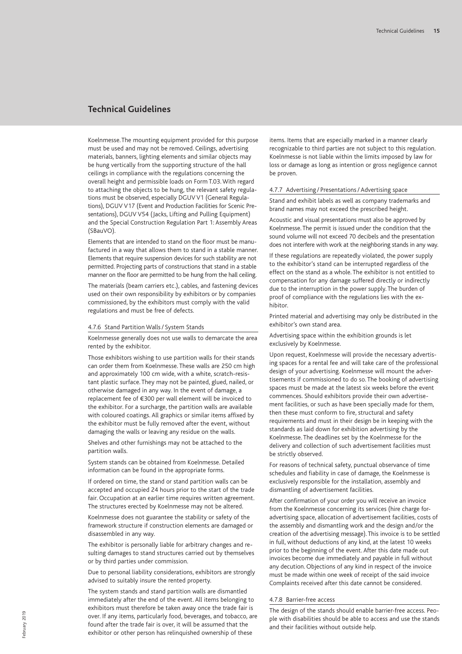Koelnmesse.The mounting equipment provided for this purpose must be used and may not be removed. Ceilings, advertising materials, banners, lighting elements and similar objects may be hung vertically from the supporting structure of the hall ceilings in compliance with the regulations concerning the overall height and permissible loads on Form T.03. With regard to attaching the objects to be hung, the relevant safety regulations must be observed, especially DGUVV1 (General Regulations), DGUV V17 (Event and Production Facilities for Scenic Presentations), DGUV V54 (Jacks, Lifting and Pulling Equipment) and the Special Construction Regulation Part 1: Assembly Areas (SBauVO).

Elements that are intended to stand on the floor must be manufactured in a way that allows them to stand in a stable manner. Elements that require suspension devices for such stability are not permitted. Projecting parts of constructions that stand in a stable manner on the floor are permitted to be hung from the hall ceiling.

The materials (beam carriers etc.), cables, and fastening devices used on their own responsibility by exhibitors or by companies commissioned, by the exhibitors must comply with the valid regulations and must be free of defects.

## 4.7.6 Stand Partition Walls/ System Stands

Koelnmesse generally does not use walls to demarcate the area rented by the exhibitor.

Those exhibitors wishing to use partition walls for their stands can order them from Koelnmesse. These walls are 250 cm high and approximately 100 cm wide, with a white, scratch-resistant plastic surface. They may not be painted, glued, nailed, or otherwise damaged in any way. In the event of damage, a replacement fee of €300 per wall element will be invoiced to the exhibitor. For a surcharge, the partition walls are available with coloured coatings. All graphics or similar items affixed by the exhibitor must be fully removed after the event, without damaging the walls or leaving any residue on the walls.

Shelves and other furnishings may not be attached to the partition walls.

System stands can be obtained from Koelnmesse. Detailed information can be found in the appropriate forms.

If ordered on time, the stand or stand partition walls can be accepted and occupied 24 hours prior to the start of the trade fair. Occupation at an earlier time requires written agreement. The structures erected by Koelnmesse may not be altered.

Koelnmesse does not guarantee the stability or safety of the framework structure if construction elements are damaged or disassembled in any way.

The exhibitor is personally liable for arbitrary changes and resulting damages to stand structures carried out by themselves or by third parties under commission.

Due to personal liability considerations, exhibitors are strongly advised to suitably insure the rented property.

The system stands and stand partition walls are dismantled immediately after the end of the event. All items belonging to exhibitors must therefore be taken away once the trade fair is over. If any items, particularly food, beverages, and tobacco, are found after the trade fair is over, it will be assumed that the exhibitor or other person has relinquished ownership of these

items. Items that are especially marked in a manner clearly recognizable to third parties are not subject to this regulation. Koelnmesse is not liable within the limits imposed by law for loss or damage as long as intention or gross negligence cannot be proven.

#### 4.7.7 Advertising / Presentations/ Advertising space

Stand and exhibit labels as well as company trademarks and brand names may not exceed the prescribed height.

Acoustic and visual presentations must also be approved by Koelnmesse. The permit is issued under the condition that the sound volume will not exceed 70 decibels and the presentation does not interfere with work at the neighboring stands in any way.

If these regulations are repeatedly violated, the power supply to the exhibitor's stand can be interrupted regardless of the effect on the stand as a whole. The exhibitor is not entitled to compensation for any damage suffered directly or indirectly due to the interruption in the power supply. The burden of proof of compliance with the regulations lies with the exhibitor.

Printed material and advertising may only be distributed in the exhibitor's own stand area.

Advertising space within the exhibition grounds is let exclusively by Koelnmesse.

Upon request, Koelnmesse will provide the necessary advertising spaces for a rental fee and will take care of the professional design of your advertising. Koelnmesse will mount the advertisements if commissioned to do so. The booking of advertising spaces must be made at the latest six weeks before the event commences. Should exhibitors provide their own advertisement facilities, or such as have been specially made for them, then these must conform to fire, structural and safety requirements and must in their design be in keeping with the standards as laid down for exhibition advertising by the Koelnmesse. The deadlines set by the Koelnmesse for the delivery and collection of such advertisement facilities must be strictly observed.

For reasons of technical safety, punctual observance of time schedules and fiability in case of damage, the Koelnmesse is exclusively responsible for the installation, assembly and dismantling of advertisement facilities.

After confirmation of your order you will receive an invoice from the Koelnmesse concerning its services (hire charge foradvertising space, allocation of advertisement facilities, costs of the assembly and dismantling work and the design and/or the creation of the advertising message). This invoice is to be settled in full, without deductions of any kind, at the latest 10 weeks prior to the beginning of the event. After this date made out invoices become due immediately and payable in full without any decution. Objections of any kind in respect of the invoice must be made within one week of receipt of the said invoice Complaints received after this date cannot be considered.

## 4.7.8 Barrier-free access

The design of the stands should enable barrier-free access. People with disabilities should be able to access and use the stands and their facilities without outside help.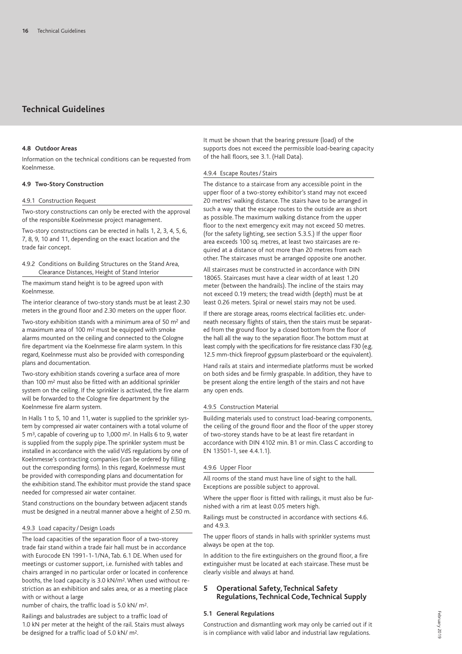## **4.8 Outdoor Areas**

Information on the technical conditions can be requested from Koelnmesse.

## **4.9 Two-Story Construction**

## 4.9.1 Construction Request

Two-story constructions can only be erected with the approval of the responsible Koelnmesse project management.

Two-story constructions can be erected in halls 1, 2, 3, 4, 5, 6, 7, 8, 9, 10 and 11, depending on the exact location and the trade fair concept.

4.9.2 Conditions on Building Structures on the Stand Area, Clearance Distances, Height of Stand Interior

The maximum stand height is to be agreed upon with Koelnmesse.

The interior clearance of two-story stands must be at least 2.30 meters in the ground floor and 2.30 meters on the upper floor.

Two-story exhibition stands with a minimum area of 50 m2 and a maximum area of 100 m2 must be equipped with smoke alarms mounted on the ceiling and connected to the Cologne fire department via the Koelnmesse fire alarm system. In this regard, Koelnmesse must also be provided with corresponding plans and documentation.

Two-story exhibition stands covering a surface area of more than 100 m2 must also be fitted with an additional sprinkler system on the ceiling. If the sprinkler is activated, the fire alarm will be forwarded to the Cologne fire department by the Koelnmesse fire alarm system.

In Halls 1 to 5, 10 and 11, water is supplied to the sprinkler system by compressed air water containers with a total volume of 5 m3, capable of covering up to 1,000 m2. In Halls 6 to 9, water is supplied from the supply pipe. The sprinkler system must be installed in accordance with the valid VdS regulations by one of Koelnmesse's contracting companies (can be ordered by filling out the corresponding forms). In this regard, Koelnmesse must be provided with corresponding plans and documentation for the exhibition stand. The exhibitor must provide the stand space needed for compressed air water container.

Stand constructions on the boundary between adjacent stands must be designed in a neutral manner above a height of 2.50 m.

#### 4.9.3 Load capacity / Design Loads

The load capacities of the separation floor of a two-storey trade fair stand within a trade fair hall must be in accordance with Eurocode EN 1991-1-1/NA, Tab. 6.1 DE. When used for meetings or customer support, i.e. furnished with tables and chairs arranged in no particular order or located in conference booths, the load capacity is 3.0 kN/m2. When used without restriction as an exhibition and sales area, or as a meeting place with or without a large

number of chairs, the traffic load is 5.0 kN/ m2.

Railings and balustrades are subject to a traffic load of 1.0 kN per meter at the height of the rail. Stairs must always be designed for a traffic load of 5.0 kN/ m2.

It must be shown that the bearing pressure (load) of the supports does not exceed the permissible load-bearing capacity of the hall floors, see 3.1. (Hall Data).

## 4.9.4 Escape Routes/ Stairs

The distance to a staircase from any accessible point in the upper floor of a two-storey exhibitor's stand may not exceed 20 metres' walking distance. The stairs have to be arranged in such a way that the escape routes to the outside are as short as possible. The maximum walking distance from the upper floor to the next emergency exit may not exceed 50 metres. (for the safety lighting, see section 5.3.5.) If the upper floor area exceeds 100 sq. metres, at least two staircases are required at a distance of not more than 20 metres from each other. The staircases must be arranged opposite one another.

All staircases must be constructed in accordance with DIN 18065. Staircases must have a clear width of at least 1.20 meter (between the handrails). The incline of the stairs may not exceed 0.19 meters; the tread width (depth) must be at least 0.26 meters. Spiral or newel stairs may not be used.

If there are storage areas, rooms electrical facilities etc. underneath necessary flights of stairs, then the stairs must be separated from the ground floor by a closed bottom from the floor of the hall all the way to the separation floor. The bottom must at least comply with the specifications for fire resistance class F30 (e.g. 12.5 mm-thick fireproof gypsum plasterboard or the equivalent).

Hand rails at stairs and intermediate platforms must be worked on both sides and be firmly graspable. In addition, they have to be present along the entire length of the stairs and not have any open ends.

#### 4.9.5 Construction Material

Building materials used to construct load-bearing components, the ceiling of the ground floor and the floor of the upper storey of two-storey stands have to be at least fire retardant in accordance with DIN 4102 min. B1 or min. Class C according to EN 13501-1, see 4.4.1.1).

#### 4.9.6 Upper Floor

All rooms of the stand must have line of sight to the hall. Exceptions are possible subject to approval.

Where the upper floor is fitted with railings, it must also be furnished with a rim at least 0.05 meters high.

Railings must be constructed in accordance with sections 4.6. and 4.9.3.

The upper floors of stands in halls with sprinkler systems must always be open at the top.

In addition to the fire extinguishers on the ground floor, a fire extinguisher must be located at each staircase. These must be clearly visible and always at hand.

## **5 Operational Safety, Technical Safety Regulations,Technical Code,Technical Supply**

#### **5.1 General Regulations**

Construction and dismantling work may only be carried out if it is in compliance with valid labor and industrial law regulations.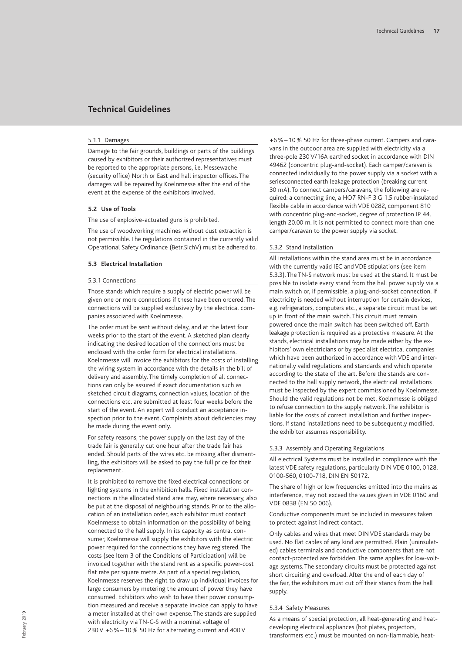#### 5.1.1 Damages

Damage to the fair grounds, buildings or parts of the buildings caused by exhibitors or their authorized representatives must be reported to the appropriate persons, i.e. Messewache (security office) North or East and hall inspector offices. The damages will be repaired by Koelnmesse after the end of the event at the expense of the exhibitors involved.

## **5.2 Use of Tools**

The use of explosive-actuated guns is prohibited.

The use of woodworking machines without dust extraction is not permissible. The regulations contained in the currently valid Operational Safety Ordinance (Betr.SichV) must be adhered to.

#### **5.3 Electrical Installation**

#### 5.3.1 Connections

Those stands which require a supply of electric power will be given one or more connections if these have been ordered. The connections will be supplied exclusively by the electrical companies associated with Koelnmesse.

The order must be sent without delay, and at the latest four weeks prior to the start of the event. A sketched plan clearly indicating the desired location of the connections must be enclosed with the order form for electrical installations. Koelnmesse will invoice the exhibitors for the costs of installing the wiring system in accordance with the details in the bill of delivery and assembly. The timely completion of all connections can only be assured if exact documentation such as sketched circuit diagrams, connection values, location of the connections etc. are submitted at least four weeks before the start of the event. An expert will conduct an acceptance inspection prior to the event. Complaints about deficiencies may be made during the event only.

For safety reasons, the power supply on the last day of the trade fair is generally cut one hour after the trade fair has ended. Should parts of the wires etc. be missing after dismantling, the exhibitors will be asked to pay the full price for their replacement.

It is prohibited to remove the fixed electrical connections or lighting systems in the exhibition halls. Fixed installation connections in the allocated stand area may, where necessary, also be put at the disposal of neighbouring stands. Prior to the allocation of an installation order, each exhibitor must contact Koelnmesse to obtain information on the possibility of being connected to the hall supply. In its capacity as central consumer, Koelnmesse will supply the exhibitors with the electric power required for the connections they have registered. The costs (see Item 3 of the Conditions of Participation) will be invoiced together with the stand rent as a specific power-cost flat rate per square metre. As part of a special regulation, Koelnmesse reserves the right to draw up individual invoices for large consumers by metering the amount of power they have consumed. Exhibitors who wish to have their power consumption measured and receive a separate invoice can apply to have a meter installed at their own expense. The stands are supplied with electricity via TN-C-S with a nominal voltage of 230 V +6 % – 10 % 50 Hz for alternating current and 400 V

+6 % – 10 % 50 Hz for three-phase current. Campers and caravans in the outdoor area are supplied with electricity via a three-pole 230 V/16A earthed socket in accordance with DIN 49462 (concentric plug-and-socket). Each camper/caravan is connected individually to the power supply via a socket with a seriesconnected earth leakage protection (breaking current 30 mA). To connect campers/caravans, the following are required: a connecting line, a HO7 RN-F 3 G 1.5 rubber-insulated flexible cable in accordance with VDE 0282, component 810 with concentric plug-and-socket, degree of protection IP 44, length 20.00 m. It is not permitted to connect more than one camper/caravan to the power supply via socket.

#### 5.3.2 Stand Installation

All installations within the stand area must be in accordance with the currently valid IEC and VDE stipulations (see item 5.3.3). The TN-S network must be used at the stand. It must be possible to isolate every stand from the hall power supply via a main switch or, if permissible, a plug-and-socket connection. If electricity is needed without interruption for certain devices, e.g. refrigerators, computers etc., a separate circuit must be set up in front of the main switch. This circuit must remain powered once the main switch has been switched off. Earth leakage protection is required as a protective measure. At the stands, electrical installations may be made either by the exhibitors' own electricians or by specialist electrical companies which have been authorized in accordance with VDE and internationally valid regulations and standards and which operate according to the state of the art. Before the stands are connected to the hall supply network, the electrical installations must be inspected by the expert commissioned by Koelnmesse. Should the valid regulations not be met, Koelnmesse is obliged to refuse connection to the supply network. The exhibitor is liable for the costs of correct installation and further inspections. If stand installations need to be subsequently modified, the exhibitor assumes responsibility.

#### 5.3.3 Assembly and Operating Regulations

All electrical Systems must be installed in compliance with the latest VDE safety regulations, particularly DIN VDE 0100, 0128, 0100-560, 0100-718, DIN EN 50172.

The share of high or low frequencies emitted into the mains as interference, may not exceed the values given in VDE 0160 and VDE 0838 (EN 50 006).

Conductive components must be included in measures taken to protect against indirect contact.

Only cables and wires that meet DIN VDE standards may be used. No flat cables of any kind are permitted. Plain (uninsulated) cables terminals and conductive components that are not contact-protected are forbidden. The same applies for low-voltage systems. The secondary circuits must be protected against short circuiting and overload. After the end of each day of the fair, the exhibitors must cut off their stands from the hall supply.

#### 5.3.4 Safety Measures

As a means of special protection, all heat-generating and heatdeveloping electrical appliances (hot plates, projectors, transformers etc.) must be mounted on non-flammable, heat-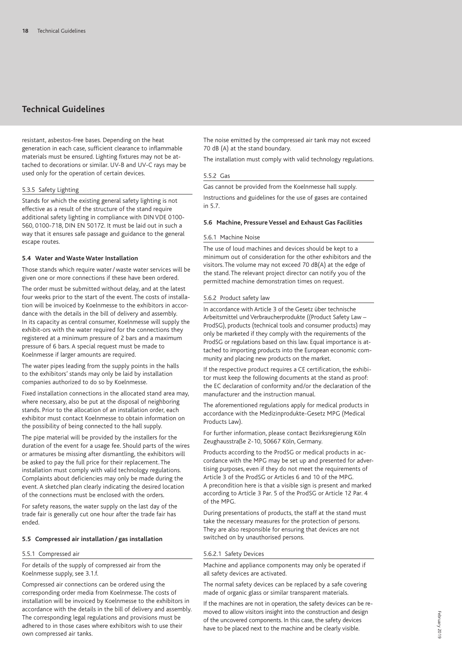resistant, asbestos-free bases. Depending on the heat generation in each case, sufficient clearance to inflammable materials must be ensured. Lighting fixtures may not be attached to decorations or similar. UV-B and UV-C rays may be used only for the operation of certain devices.

### 5.3.5 Safety Lighting

Stands for which the existing general safety lighting is not effective as a result of the structure of the stand require additional safety lighting in compliance with DIN VDE 0100- 560, 0100-718, DIN EN 50172. It must be laid out in such a way that it ensures safe passage and guidance to the general escape routes.

#### **5.4 Water and Waste Water Installation**

Those stands which require water/waste water services will be given one or more connections if these have been ordered.

The order must be submitted without delay, and at the latest four weeks prior to the start of the event. The costs of installation will be invoiced by Koelnmesse to the exhibitors in accordance with the details in the bill of delivery and assembly. In its capacity as central consumer, Koelnmesse will supply the exhibit-ors with the water required for the connections they registered at a minimum pressure of 2 bars and a maximum pressure of 6 bars. A special request must be made to Koelnmesse if larger amounts are required.

The water pipes leading from the supply points in the halls to the exhibitors' stands may only be laid by installation companies authorized to do so by Koelnmesse.

Fixed installation connections in the allocated stand area may, where necessary, also be put at the disposal of neighboring stands. Prior to the allocation of an installation order, each exhibitor must contact Koelnmesse to obtain information on the possibility of being connected to the hall supply.

The pipe material will be provided by the installers for the duration of the event for a usage fee. Should parts of the wires or armatures be missing after dismantling, the exhibitors will be asked to pay the full price for their replacement. The installation must comply with valid technology regulations. Complaints about deficiencies may only be made during the event. A sketched plan clearly indicating the desired location of the connections must be enclosed with the orders.

For safety reasons, the water supply on the last day of the trade fair is generally cut one hour after the trade fair has ended.

## **5.5 Compressed air installation / gas installation**

## 5.5.1 Compressed air

For details of the supply of compressed air from the Koelnmesse supply, see 3.1.f.

Compressed air connections can be ordered using the corresponding order media from Koelnmesse. The costs of installation will be invoiced by Koelnmesse to the exhibitors in accordance with the details in the bill of delivery and assembly. The corresponding legal regulations and provisions must be adhered to in those cases where exhibitors wish to use their own compressed air tanks.

The noise emitted by the compressed air tank may not exceed 70 dB (A) at the stand boundary.

The installation must comply with valid technology regulations.

## 5.5.2 Gas

Gas cannot be provided from the Koelnmesse hall supply.

Instructions and guidelines for the use of gases are contained in 5.7.

#### **5.6 Machine, PressureVessel and Exhaust Gas Facilities**

#### 5.6.1 Machine Noise

The use of loud machines and devices should be kept to a minimum out of consideration for the other exhibitors and the visitors. The volume may not exceed 70 dB(A) at the edge of the stand. The relevant project director can notify you of the permitted machine demonstration times on request.

#### 5.6.2 Product safety law

In accordance with Article 3 of the Gesetz über technische Arbeitsmittel und Verbraucherprodukte ((Product Safety Law -ProdSG), products (technical tools and consumer products) may only be marketed if they comply with the requirements of the ProdSG or regulations based on this law. Equal importance is attached to importing products into the European economic community and placing new products on the market.

If the respective product requires a CE certification, the exhibitor must keep the following documents at the stand as proof: the EC declaration of conformity and/or the declaration of the manufacturer and the instruction manual.

The aforementioned regulations apply for medical products in accordance with the Medizinprodukte-Gesetz MPG (Medical Products Law).

For further information, please contact Bezirksregierung Köln Zeughausstraße 2-10, 50667 Köln, Germany.

Products according to the ProdSG or medical products in accordance with the MPG may be set up and presented for advertising purposes, even if they do not meet the requirements of Article 3 of the ProdSG or Articles 6 and 10 of the MPG. A precondition here is that a visible sign is present and marked according to Article 3 Par. 5 of the ProdSG or Article 12 Par. 4 of the MPG.

During presentations of products, the staff at the stand must take the necessary measures for the protection of persons. They are also responsible for ensuring that devices are not switched on by unauthorised persons.

### 5.6.2.1 Safety Devices

Machine and appliance components may only be operated if all safety devices are activated.

The normal safety devices can be replaced by a safe covering made of organic glass or similar transparent materials.

If the machines are not in operation, the safety devices can be removed to allow visitors insight into the construction and design of the uncovered components. In this case, the safety devices have to be placed next to the machine and be clearly visible.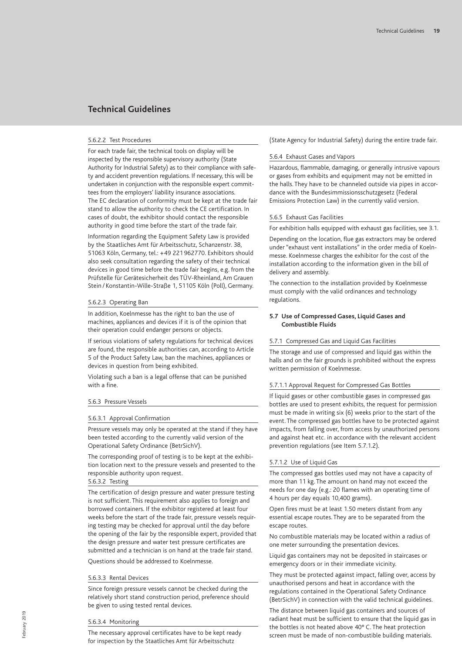#### 5.6.2.2 Test Procedures

For each trade fair, the technical tools on display will be inspected by the responsible supervisory authority (State Authority for Industrial Safety) as to their compliance with safety and accident prevention regulations. If necessary, this will be undertaken in conjunction with the responsible expert committees from the employers' liability insurance associations. The EC declaration of conformity must be kept at the trade fair stand to allow the authority to check the CE certification. In cases of doubt, the exhibitor should contact the responsible authority in good time before the start of the trade fair.

Information regarding the Equipment Safety Law is provided by the Staatliches Amt für Arbeitsschutz, Schanzenstr. 38, 51063 Köln, Germany, tel.: +49 221 962770. Exhibitors should also seek consultation regarding the safety of their technical devices in good time before the trade fair begins, e.g. from the Prüfstelle für Gerätesicherheit des TÜV-Rheinland, Am Grauen Stein / Konstantin-Wille-Straße 1, 51105 Köln (Poll), Germany.

### 5.6.2.3 Operating Ban

In addition, Koelnmesse has the right to ban the use of machines, appliances and devices if it is of the opinion that their operation could endanger persons or objects.

If serious violations of safety regulations for technical devices are found, the responsible authorities can, according to Article 5 of the Product Safety Law, ban the machines, appliances or devices in question from being exhibited.

Violating such a ban is a legal offense that can be punished with a fine.

#### 5.6.3 Pressure Vessels

#### 5.6.3.1 Approval Confirmation

Pressure vessels may only be operated at the stand if they have been tested according to the currently valid version of the Operational Safety Ordinance (BetrSichV).

The corresponding proof of testing is to be kept at the exhibition location next to the pressure vessels and presented to the responsible authority upon request.

## 5.6.3.2 Testing

The certification of design pressure and water pressure testing is not sufficient. This requirement also applies to foreign and borrowed containers. If the exhibitor registered at least four weeks before the start of the trade fair, pressure vessels requiring testing may be checked for approval until the day before the opening of the fair by the responsible expert, provided that the design pressure and water test pressure certificates are submitted and a technician is on hand at the trade fair stand.

Questions should be addressed to Koelnmesse.

### 5.6.3.3 Rental Devices

Since foreign pressure vessels cannot be checked during the relatively short stand construction period, preference should be given to using tested rental devices.

#### 5.6.3.4 Monitoring

The necessary approval certificates have to be kept ready for inspection by the Staatliches Amt für Arbeitsschutz

(State Agency for Industrial Safety) during the entire trade fair.

#### 5.6.4 Exhaust Gases and Vapors

Hazardous, flammable, damaging, or generally intrusive vapours or gases from exhibits and equipment may not be emitted in the halls. They have to be channeled outside via pipes in accordance with the Bundesimmissionsschutzgesetz (Federal Emissions Protection Law) in the currently valid version.

## 5.6.5 Exhaust Gas Facilities

For exhibition halls equipped with exhaust gas facilities, see 3.1.

Depending on the location, flue gas extractors may be ordered under "exhaust vent installations" in the order media of Koelnmesse. Koelnmesse charges the exhibitor for the cost of the installation according to the information given in the bill of delivery and assembly.

The connection to the installation provided by Koelnmesse must comply with the valid ordinances and technology regulations.

#### **5.7 Use of Compressed Gases, Liquid Gases and Combustible Fluids**

#### 5.7.1 Compressed Gas and Liquid Gas Facilities

The storage and use of compressed and liquid gas within the halls and on the fair grounds is prohibited without the express written permission of Koelnmesse.

### 5.7.1.1 Approval Request for Compressed Gas Bottles

If liquid gases or other combustible gases in compressed gas bottles are used to present exhibits, the request for permission must be made in writing six (6) weeks prior to the start of the event. The compressed gas bottles have to be protected against impacts, from falling over, from access by unauthorized persons and against heat etc. in accordance with the relevant accident prevention regulations (see Item 5.7.1.2).

## 5.7.1.2 Use of Liquid Gas

The compressed gas bottles used may not have a capacity of more than 11 kg. The amount on hand may not exceed the needs for one day (e.g.: 20 flames with an operating time of 4 hours per day equals 10,400 grams).

Open fires must be at least 1.50 meters distant from any essential escape routes. They are to be separated from the escape routes.

No combustible materials may be located within a radius of one meter surrounding the presentation devices.

Liquid gas containers may not be deposited in staircases or emergency doors or in their immediate vicinity.

They must be protected against impact, falling over, access by unauthorised persons and heat in accordance with the regulations contained in the Operational Safety Ordinance (BetrSichV) in connection with the valid technical guidelines.

The distance between liquid gas containers and sources of radiant heat must be sufficient to ensure that the liquid gas in the bottles is not heated above 40° C. The heat protection screen must be made of non-combustible building materials.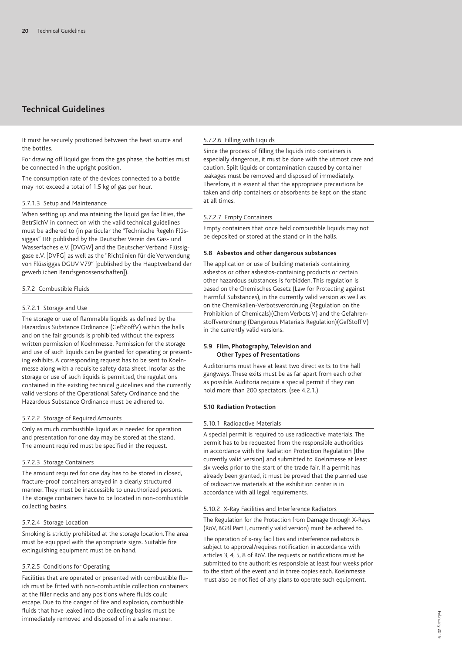It must be securely positioned between the heat source and the bottles.

For drawing off liquid gas from the gas phase, the bottles must be connected in the upright position.

The consumption rate of the devices connected to a bottle may not exceed a total of 1.5 kg of gas per hour.

## 5.7.1.3 Setup and Maintenance

When setting up and maintaining the liquid gas facilities, the BetrSichV in connection with the valid technical guidelines must be adhered to (in particular the "Technische Regeln Flüssiggas" TRF published by the Deutscher Verein des Gas- und Wasserfaches e.V. [DVGW] and the Deutscher Verband Flüssiggase e.V. [DVFG] as well as the "Richtlinien für die Verwendung von Flüssiggas DGUV V79" [published by the Hauptverband der gewerblichen Berufsgenossenschaften]).

### 5.7.2 Combustible Fluids

## 5.7.2.1 Storage and Use

The storage or use of flammable liquids as defined by the Hazardous Substance Ordinance (GefStoffV) within the halls and on the fair grounds is prohibited without the express written permission of Koelnmesse. Permission for the storage and use of such liquids can be granted for operating or presenting exhibits. A corresponding request has to be sent to Koelnmesse along with a requisite safety data sheet. Insofar as the storage or use of such liquids is permitted, the regulations contained in the existing technical guidelines and the currently valid versions of the Operational Safety Ordinance and the Hazardous Substance Ordinance must be adhered to.

### 5.7.2.2 Storage of Required Amounts

Only as much combustible liquid as is needed for operation and presentation for one day may be stored at the stand. The amount required must be specified in the request.

## 5.7.2.3 Storage Containers

The amount required for one day has to be stored in closed, fracture-proof containers arrayed in a clearly structured manner. They must be inaccessible to unauthorized persons. The storage containers have to be located in non-combustible collecting basins.

## 5.7.2.4 Storage Location

Smoking is strictly prohibited at the storage location. The area must be equipped with the appropriate signs. Suitable fire extinguishing equipment must be on hand.

## 5.7.2.5 Conditions for Operating

Facilities that are operated or presented with combustible fluids must be fitted with non-combustible collection containers at the filler necks and any positions where fluids could escape. Due to the danger of fire and explosion, combustible fluids that have leaked into the collecting basins must be immediately removed and disposed of in a safe manner.

## 5.7.2.6 Filling with Liquids

Since the process of filling the liquids into containers is especially dangerous, it must be done with the utmost care and caution. Spilt liquids or contamination caused by container leakages must be removed and disposed of immediately. Therefore, it is essential that the appropriate precautions be taken and drip containers or absorbents be kept on the stand at all times.

## 5.7.2.7 Empty Containers

Empty containers that once held combustible liquids may not be deposited or stored at the stand or in the halls.

## **5.8 Asbestos and other dangerous substances**

The application or use of building materials containing asbestos or other asbestos-containing products or certain other hazardous substances is forbidden. This regulation is based on the Chemisches Gesetz (Law for Protecting against Harmful Substances), in the currently valid version as well as on the Chemikalien-Verbotsverordnung (Regulation on the Prohibition of Chemicals)(Chem Verbots V) and the Gefahrenstoffverordnung (Dangerous Materials Regulation)(GefStoffV) in the currently valid versions.

## **5.9 Film, Photography, Television and Other Types of Presentations**

Auditoriums must have at least two direct exits to the hall gangways. These exits must be as far apart from each other as possible. Auditoria require a special permit if they can hold more than 200 spectators. (see 4.2.1.)

### **5.10 Radiation Protection**

## 5.10.1 Radioactive Materials

A special permit is required to use radioactive materials. The permit has to be requested from the responsible authorities in accordance with the Radiation Protection Regulation (the currently valid version) and submitted to Koelnmesse at least six weeks prior to the start of the trade fair. If a permit has already been granted, it must be proved that the planned use of radioactive materials at the exhibition center is in accordance with all legal requirements.

### 5.10.2 X-Ray Facilities and Interference Radiators

The Regulation for the Protection from Damage through X-Rays (RöV, BGBl Part I, currently valid version) must be adhered to.

The operation of x-ray facilities and interference radiators is subject to approval/requires notification in accordance with articles 3, 4, 5, 8 of RöV. The requests or notifications must be submitted to the authorities responsible at least four weeks prior to the start of the event and in three copies each. Koelnmesse must also be notified of any plans to operate such equipment.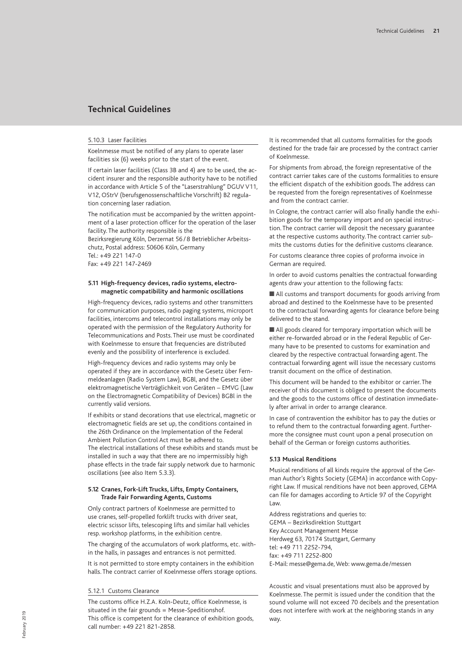#### 5.10.3 Laser Facilities

Koelnmesse must be notified of any plans to operate laser facilities six (6) weeks prior to the start of the event.

If certain laser facilities (Class 3B and 4) are to be used, the accident insurer and the responsible authority have to be notified in accordance with Article 5 of the "Laserstrahlung" DGUV V11, V12, OStrV (berufsgenossenschaftliche Vorschrift) B2 regulation concerning laser radiation.

The notification must be accompanied by the written appointment of a laser protection officer for the operation of the laser facility. The authority responsible is the

Bezirksregierung Köln, Derzernat 56 / 8 Betrieblicher Arbeitsschutz, Postal address: 50606 Köln, Germany Tel.: +49 221 147-0 Fax: +49 221 147-2469

**5.11 High-frequency devices, radio systems, electromagnetic compatibility and harmonic oscillations**

High-frequency devices, radio systems and other transmitters for communication purposes, radio paging systems, microport facilities, intercoms and telecontrol installations may only be operated with the permission of the Regulatory Authority for Telecommunications and Posts. Their use must be coordinated with Koelnmesse to ensure that frequencies are distributed evenly and the possibility of interference is excluded.

High-frequency devices and radio systems may only be operated if they are in accordance with the Gesetz über Fernmeldeanlagen (Radio System Law), BGBl, and the Gesetz über elektromagnetische Verträglichkeit von Geräten – EMVG (Law on the Electromagnetic Compatibility of Devices) BGBl in the currently valid versions.

If exhibits or stand decorations that use electrical, magnetic or electromagnetic fields are set up, the conditions contained in the 26th Ordinance on the Implementation of the Federal Ambient Pollution Control Act must be adhered to. The electrical installations of these exhibits and stands must be installed in such a way that there are no impermissibly high phase effects in the trade fair supply network due to harmonic oscillations (see also Item 5.3.3).

## **5.12 Cranes, Fork-Lift Trucks, Lifts, Empty Containers, Trade Fair Forwarding Agents, Customs**

Only contract partners of Koelnmesse are permitted to use cranes, self-propelled forklift trucks with driver seat, electric scissor lifts, telescoping lifts and similar hall vehicles resp. workshop platforms, in the exhibition centre.

The charging of the accumulators of work platforms, etc. within the halls, in passages and entrances is not permitted.

It is not permitted to store empty containers in the exhibition halls. The contract carrier of Koelnmesse offers storage options.

#### 5.12.1 Customs Clearance

The customs office H.Z.A. Koln-Deutz, office Koelnmesse, is situated in the fair grounds = Messe-Speditionshof. This office is competent for the clearance of exhibition goods, call number: +49 221 821-2858.

It is recommended that all customs formalities for the goods destined for the trade fair are processed by the contract carrier of Koelnmesse.

For shipments from abroad, the foreign representative of the contract carrier takes care of the customs formalities to ensure the efficient dispatch of the exhibition goods. The address can be requested from the foreign representatives of Koelnmesse and from the contract carrier.

In Cologne, the contract carrier will also finally handle the exhibition goods for the temporary import and on special instruction. The contract carrier will deposit the necessary guarantee at the respective customs authority. The contract carrier submits the customs duties for the definitive customs clearance.

For customs clearance three copies of proforma invoice in German are required.

In order to avoid customs penalties the contractual forwarding agents draw your attention to the following facts:

■ All customs and transport documents for goods arriving from abroad and destined to the Koelnmesse have to be presented to the contractual forwarding agents for clearance before being delivered to the stand.

 $\blacksquare$  All goods cleared for temporary importation which will be either re-forwarded abroad or in the Federal Republic of Germany have to be presented to customs for examination and cleared by the respective contractual forwarding agent. The contractual forwarding agent will issue the necessary customs transit document on the office of destination.

This document will be handed to the exhibitor or carrier. The receiver of this document is obliged to present the documents and the goods to the customs office of destination immediately after arrival in order to arrange clearance.

In case of contravention the exhibitor has to pay the duties or to refund them to the contractual forwarding agent. Furthermore the consignee must count upon a penal prosecution on behalf of the German or foreign customs authorities.

#### **5.13 Musical Renditions**

Musical renditions of all kinds require the approval of the German Author's Rights Society (GEMA) in accordance with Copyright Law. If musical renditions have not been approved, GEMA can file for damages according to Article 97 of the Copyright Law.

Address registrations and queries to: GEMA – Bezirksdirektion Stuttgart Key Account Management Messe Herdweg 63, 70174 Stuttgart, Germany tel: +49 711 2252-794, fax: +49 711 2252-800 E-Mail: messe@gema.de, Web: www.gema.de/messen

Acoustic and visual presentations must also be approved by Koelnmesse. The permit is issued under the condition that the sound volume will not exceed 70 decibels and the presentation does not interfere with work at the neighboring stands in any way.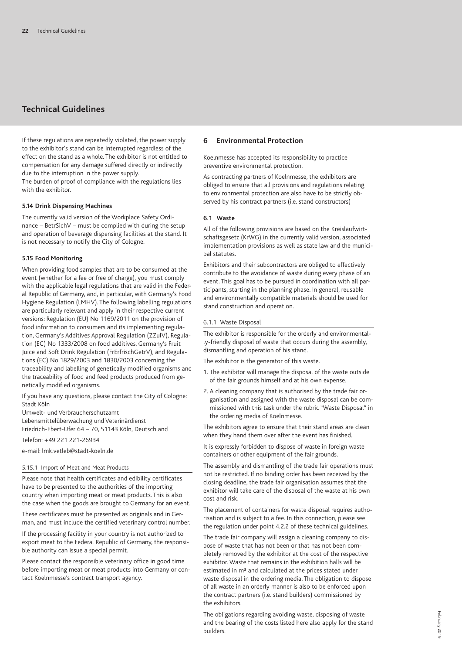If these regulations are repeatedly violated, the power supply to the exhibitor's stand can be interrupted regardless of the effect on the stand as a whole. The exhibitor is not entitled to compensation for any damage suffered directly or indirectly due to the interruption in the power supply. The burden of proof of compliance with the regulations lies with the exhibitor.

#### **5.14 Drink Dispensing Machines**

The currently valid version of the Workplace Safety Ordinance – BetrSichV – must be complied with during the setup and operation of beverage dispensing facilities at the stand. It is not necessary to notify the City of Cologne.

#### **5.15 Food Monitoring**

When providing food samples that are to be consumed at the event (whether for a fee or free of charge), you must comply with the applicable legal regulations that are valid in the Federal Republic of Germany, and, in particular, with Germany's Food Hygiene Regulation (LMHV). The following labelling regulations are particularly relevant and apply in their respective current versions: Regulation (EU) No 1169/2011 on the provision of food information to consumers and its implementing regulation, Germany's Additives Approval Regulation (ZZulV), Regulation (EC) No 1333/2008 on food additives, Germany's Fruit Juice and Soft Drink Regulation (FrErfrischGetrV), and Regulations (EC) No 1829/2003 and 1830/2003 concerning the traceability and labelling of genetically modified organisms and the traceability of food and feed products produced from genetically modified organisms.

If you have any questions, please contact the City of Cologne: Stadt Köln

Umwelt- und Verbraucherschutzamt

Lebensmittelüberwachung und Veterinärdienst Friedrich-Ebert-Ufer 64 – 70, 51143 Köln, Deutschland

Telefon: +49 221 221-26934

e-mail: lmk.vetleb@stadt-koeln.de

#### 5.15.1 Import of Meat and Meat Products

Please note that health certificates and edibility certificates have to be presented to the authorities of the importing country when importing meat or meat products. This is also the case when the goods are brought to Germany for an event.

These certificates must be presented as originals and in German, and must include the certified veterinary control number.

If the processing facility in your country is not authorized to export meat to the Federal Republic of Germany, the responsible authority can issue a special permit.

Please contact the responsible veterinary office in good time before importing meat or meat products into Germany or contact Koelnmesse's contract transport agency.

## **6 Environmental Protection**

Koelnmesse has accepted its responsibility to practice preventive environmental protection.

As contracting partners of Koelnmesse, the exhibitors are obliged to ensure that all provisions and regulations relating to environmental protection are also have to be strictly observed by his contract partners (i.e. stand constructors)

## **6.1 Waste**

All of the following provisions are based on the Kreislaufwirtschaftsgesetz (KrWG) in the currently valid version, associated implementation provisions as well as state law and the municipal statutes.

Exhibitors and their subcontractors are obliged to effectively contribute to the avoidance of waste during every phase of an event. This goal has to be pursued in coordination with all participants, starting in the planning phase. In general, reusable and environmentally compatible materials should be used for stand construction and operation.

## 6.1.1 Waste Disposal

The exhibitor is responsible for the orderly and environmentally-friendly disposal of waste that occurs during the assembly, dismantling and operation of his stand.

The exhibitor is the generator of this waste.

- 1. The exhibitor will manage the disposal of the waste outside of the fair grounds himself and at his own expense.
- 2. A cleaning company that is authorised by the trade fair organisation and assigned with the waste disposal can be commissioned with this task under the rubric "Waste Disposal" in the ordering media of Koelnmesse.

The exhibitors agree to ensure that their stand areas are clean when they hand them over after the event has finished.

It is expressly forbidden to dispose of waste in foreign waste containers or other equipment of the fair grounds.

The assembly and dismantling of the trade fair operations must not be restricted. If no binding order has been received by the closing deadline, the trade fair organisation assumes that the exhibitor will take care of the disposal of the waste at his own cost and risk.

The placement of containers for waste disposal requires authorisation and is subject to a fee. In this connection, please see the regulation under point 4.2.2 of these technical guidelines.

The trade fair company will assign a cleaning company to dispose of waste that has not been or that has not been completely removed by the exhibitor at the cost of the respective exhibitor. Waste that remains in the exhibition halls will be estimated in m<sup>3</sup> and calculated at the prices stated under waste disposal in the ordering media. The obligation to dispose of all waste in an orderly manner is also to be enforced upon the contract partners (i.e. stand builders) commissioned by the exhibitors.

The obligations regarding avoiding waste, disposing of waste and the bearing of the costs listed here also apply for the stand builders.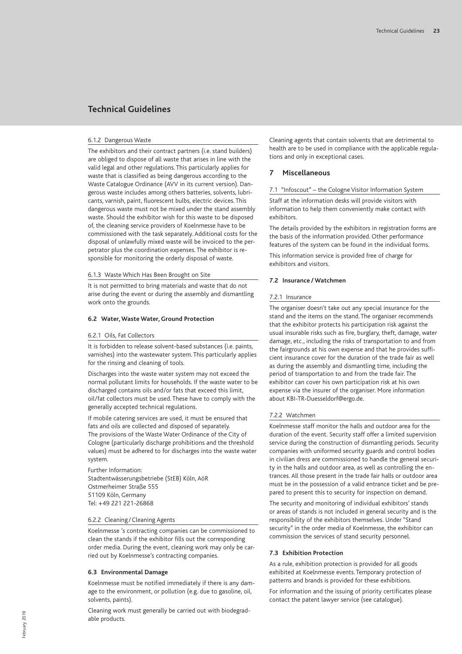### 6.1.2 Dangerous Waste

The exhibitors and their contract partners (i.e. stand builders) are obliged to dispose of all waste that arises in line with the valid legal and other regulations. This particularly applies for waste that is classified as being dangerous according to the Waste Catalogue Ordinance (AVV in its current version). Dangerous waste includes among others batteries, solvents, lubricants, varnish, paint, fluorescent bulbs, electric devices. This dangerous waste must not be mixed under the stand assembly waste. Should the exhibitor wish for this waste to be disposed of, the cleaning service providers of Koelnmesse have to be commissioned with the task separately. Additional costs for the disposal of unlawfully mixed waste will be invoiced to the perpetrator plus the coordination expenses. The exhibitor is responsible for monitoring the orderly disposal of waste.

## 6.1.3 Waste Which Has Been Brought on Site

It is not permitted to bring materials and waste that do not arise during the event or during the assembly and dismantling work onto the grounds.

## **6.2 Water,Waste Water, Ground Protection**

## 6.2.1 Oils, Fat Collectors

It is forbidden to release solvent-based substances (i.e. paints, varnishes) into the wastewater system. This particularly applies for the rinsing and cleaning of tools.

Discharges into the waste water system may not exceed the normal pollutant limits for households. If the waste water to be discharged contains oils and/or fats that exceed this limit, oil/fat collectors must be used. These have to comply with the generally accepted technical regulations.

If mobile catering services are used, it must be ensured that fats and oils are collected and disposed of separately. The provisions of the Waste Water Ordinance of the City of Cologne (particularly discharge prohibitions and the threshold values) must be adhered to for discharges into the waste water system.

Further Information: Stadtentwässerungsbetriebe (StEB) Köln, AöR Ostmerheimer Straße 555 51109 Köln, Germany Tel: +49 221 221-26868

#### 6.2.2 Cleaning / Cleaning Agents

Koelnmesse 's contracting companies can be commissioned to clean the stands if the exhibitor fills out the corresponding order media. During the event, cleaning work may only be carried out by Koelnmesse's contracting companies.

### **6.3 Environmental Damage**

Koelnmesse must be notified immediately if there is any damage to the environment, or pollution (e.g. due to gasoline, oil, solvents, paints).

Cleaning work must generally be carried out with biodegradable products.

Cleaning agents that contain solvents that are detrimental to health are to be used in compliance with the applicable regulations and only in exceptional cases.

### **7 Miscellaneous**

7.1 "Infoscout" – the Cologne Visitor Information System

Staff at the information desks will provide visitors with information to help them conveniently make contact with exhibitors.

The details provided by the exhibitors in registration forms are the basis of the information provided. Other performance features of the system can be found in the individual forms.

This information service is provided free of charge for exhibitors and visitors.

#### **7.2 Insurance /Watchmen**

#### 7.2.1 Insurance

The organiser doesn't take out any special insurance for the stand and the items on the stand. The organiser recommends that the exhibitor protects his participation risk against the usual insurable risks such as fire, burglary, theft, damage, water damage, etc., including the risks of transportation to and from the fairgrounds at his own expense and that he provides sufficient insurance cover for the duration of the trade fair as well as during the assembly and dismantling time, including the period of transportation to and from the trade fair. The exhibitor can cover his own participation risk at his own expense via the insurer of the organiser. More information about KBI-TR-Duesseldorf@ergo.de.

#### 7.2.2 Watchmen

Koelnmesse staff monitor the halls and outdoor area for the duration of the event. Security staff offer a limited supervision service during the construction of dismantling periods. Security companies with uniformed security guards and control bodies in civilian dress are commissioned to handle the general security in the halls and outdoor area, as well as controlling the entrances. All those present in the trade fair halls or outdoor area must be in the possession of a valid entrance ticket and be prepared to present this to security for inspection on demand.

The security and monitoring of individual exhibitors' stands or areas of stands is not included in general security and is the responsibility of the exhibitors themselves. Under "Stand security" in the order media of Koelnmesse, the exhibitor can commission the services of stand security personnel.

#### **7.3 Exhibition Protection**

As a rule, exhibition protection is provided for all goods exhibited at Koelnmesse events. Temporary protection of patterns and brands is provided for these exhibitions. For information and the issuing of priority certificates please contact the patent lawyer service (see catalogue).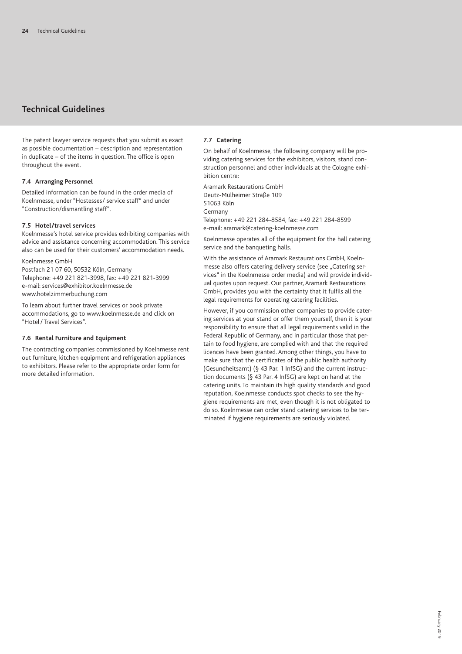The patent lawyer service requests that you submit as exact as possible documentation – description and representation in duplicate – of the items in question. The office is open throughout the event.

## **7.4 Arranging Personnel**

Detailed information can be found in the order media of Koelnmesse, under "Hostesses/ service staff" and under "Construction/dismantling staff".

### **7.5 Hotel/travel services**

Koelnmesse's hotel service provides exhibiting companies with advice and assistance concerning accommodation. This service also can be used for their customers' accommodation needs.

Koelnmesse GmbH Postfach 21 07 60, 50532 Köln, Germany Telephone: +49 221 821-3998, fax: +49 221 821-3999 e-mail: services@exhibitor.koelnmesse.de www.hotelzimmerbuchung.com

To learn about further travel services or book private accommodations, go to www.koelnmesse.de and click on "Hotel/ Travel Services".

## **7.6 Rental Furniture and Equipment**

The contracting companies commissioned by Koelnmesse rent out furniture, kitchen equipment and refrigeration appliances to exhibitors. Please refer to the appropriate order form for more detailed information.

## **7.7 Catering**

On behalf of Koelnmesse, the following company will be providing catering services for the exhibitors, visitors, stand construction personnel and other individuals at the Cologne exhibition centre:

Aramark Restaurations GmbH Deutz-Mülheimer Straße 109 51063 Köln Germany

Telephone: +49 221 284-8584, fax: +49 221 284-8599 e-mail: aramark@catering-koelnmesse.com

Koelnmesse operates all of the equipment for the hall catering service and the banqueting halls.

With the assistance of Aramark Restaurations GmbH, Koelnmesse also offers catering delivery service (see "Catering services" in the Koelnmesse order media) and will provide individual quotes upon request. Our partner, Aramark Restaurations GmbH, provides you with the certainty that it fulfils all the legal requirements for operating catering facilities.

However, if you commission other companies to provide catering services at your stand or offer them yourself, then it is your responsibility to ensure that all legal requirements valid in the Federal Republic of Germany, and in particular those that pertain to food hygiene, are complied with and that the required licences have been granted. Among other things, you have to make sure that the certificates of the public health authority (Gesundheitsamt) (§ 43 Par. 1 InfSG) and the current instruction documents (§ 43 Par. 4 InfSG) are kept on hand at the catering units. To maintain its high quality standards and good reputation, Koelnmesse conducts spot checks to see the hygiene requirements are met, even though it is not obligated to do so. Koelnmesse can order stand catering services to be terminated if hygiene requirements are seriously violated.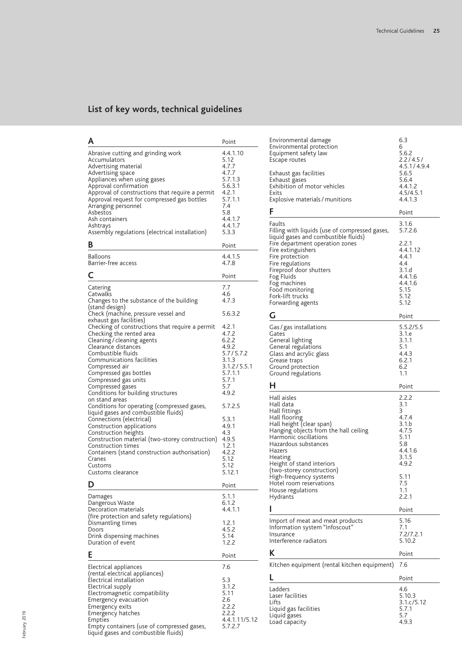## **Technical Guidelines List of key words, technical guidelines**

| Α                                                                                                                                                                                                                                                                                                                                                                                                                                                                                                                                                                                                                                                                                                          | Point                                                                                                                                                                                                |
|------------------------------------------------------------------------------------------------------------------------------------------------------------------------------------------------------------------------------------------------------------------------------------------------------------------------------------------------------------------------------------------------------------------------------------------------------------------------------------------------------------------------------------------------------------------------------------------------------------------------------------------------------------------------------------------------------------|------------------------------------------------------------------------------------------------------------------------------------------------------------------------------------------------------|
| Abrasive cutting and grinding work<br>Accumulators<br>Advertising material<br>Advertising space<br>Appliances when using gases<br>Approval confirmation<br>Approval of constructions that require a permit<br>Approval request for compressed gas bottles<br>Arranging personnel<br>Asbestos<br>Ash containers<br>Ashtrays<br>Assembly regulations (electrical installation)<br>В                                                                                                                                                                                                                                                                                                                          | 4.4.1.10<br>5.12<br>4.7.7<br>4.7.7<br>5.7.1.3<br>5.6.3.1<br>4.2.1<br>5.7.1.1<br>7.4<br>5.8<br>4.4.1.7<br>4.4.1.7<br>5.3.3<br>Point                                                                   |
| Balloons                                                                                                                                                                                                                                                                                                                                                                                                                                                                                                                                                                                                                                                                                                   | 4.4.1.5                                                                                                                                                                                              |
| Barrier-free access                                                                                                                                                                                                                                                                                                                                                                                                                                                                                                                                                                                                                                                                                        | 4.7.8                                                                                                                                                                                                |
|                                                                                                                                                                                                                                                                                                                                                                                                                                                                                                                                                                                                                                                                                                            | Point                                                                                                                                                                                                |
| Catering<br>Catwalks<br>Changes to the substance of the building<br>(stand design)<br>Check (machine, pressure vessel and                                                                                                                                                                                                                                                                                                                                                                                                                                                                                                                                                                                  | 7.7<br>4.6<br>4.7.3<br>5.6.3.2                                                                                                                                                                       |
| exhaust gas facilities)<br>Checking of constructions that require a permit<br>Checking the rented area<br>Cleaning / cleaning agents<br>Clearance distances<br>Combustible fluids<br>Communications facilities<br>Compressed air<br>Compressed gas bottles<br>Compressed gas units<br>Compressed gases<br>Conditions for building structures<br>on stand areas<br>Conditions for operating (compressed gases,<br>liquid gases and combustible fluids)<br>Connections (electrical)<br>Construction applications<br>Construction heights<br>Construction material (two-storey construction)<br>Construction times<br>Containers (stand construction authorisation)<br>Cranes<br>Customs<br>Customs clearance | 4.2.1<br>4.7.2<br>6.2.2<br>4.9.2<br>5.7/5.7.2<br>3.1.3<br>3.1.2 / 5.5.1<br>5.7.1.1<br>5.7.1<br>5.7<br>4.9.2<br>5.7.2.5<br>5.3.1<br>4.9.1<br>4.3<br>4.9.5<br>1.2.1<br>4.2.2<br>5.12<br>5.12<br>5.12.1 |
| D                                                                                                                                                                                                                                                                                                                                                                                                                                                                                                                                                                                                                                                                                                          | Point                                                                                                                                                                                                |
| Damages<br>Dangerous Waste<br>Decoration materials<br>(fire protection and safety regulations)<br>Dismantling times<br>Doors<br>Drink dispensing machines<br>Duration of event                                                                                                                                                                                                                                                                                                                                                                                                                                                                                                                             | 5.1.1<br>6.1.2<br>4.4.1.1<br>1.2.1<br>4.5.2<br>5.14<br>1.2.2                                                                                                                                         |
| Е                                                                                                                                                                                                                                                                                                                                                                                                                                                                                                                                                                                                                                                                                                          | Point                                                                                                                                                                                                |
| Electrical appliances<br>(rental electrical appliances)<br>Electrical installation<br>Electrical supply<br>Electromagnetic compatibility<br>Emergency evacuation<br>Emergency exits<br>Emergency hatches<br>Empties<br>Empty containers (use of compressed gases,<br>liquid gases and combustible fluids)                                                                                                                                                                                                                                                                                                                                                                                                  | 7.6<br>5.3<br>3.1.2<br>5.11<br>2.6<br>2.2.2<br>2.2.2<br>4.4.1.11/5.12<br>5.7.2.7                                                                                                                     |

| Environmental damage<br>Environmental protection<br>Equipment safety law<br>Escape routes<br>Exhaust gas facilities                                                                                                                                             | 6.3<br>6<br>5.6.2<br>2.2/4.5/<br>4.5.1 / 4.9.4<br>5.6.5                                  |
|-----------------------------------------------------------------------------------------------------------------------------------------------------------------------------------------------------------------------------------------------------------------|------------------------------------------------------------------------------------------|
| Exhaust gases<br>Exhibition of motor vehicles<br>Exits<br>Explosive materials / munitions                                                                                                                                                                       | 5.6.4<br>4.4.1.2<br>4.5/4.5.1<br>4.4.1.3                                                 |
| F                                                                                                                                                                                                                                                               | Point                                                                                    |
| Faults<br>Filling with liquids (use of compressed gases,<br>liquid gases and combustible fluids)                                                                                                                                                                | 3.1.6<br>5.7.2.6                                                                         |
| Fire department operation zones<br>Fire extinguishers<br>Fire protection<br>Fire regulations                                                                                                                                                                    | 2.2.1<br>4.4.1.12<br>4.4.1<br>4.4                                                        |
| Fireproof door shutters<br>Fog Fluids<br>Fog machines                                                                                                                                                                                                           | 3.1.d<br>4.4.1.6<br>4.4.1.6                                                              |
| Food monitoring<br>Fork-lift trucks<br>Forwarding agents                                                                                                                                                                                                        | 5.15<br>5.12<br>5.12                                                                     |
| G                                                                                                                                                                                                                                                               | Point                                                                                    |
| Gas / gas installations<br>Gates<br>General lighting<br>General regulations<br>Glass and acrylic glass<br>Grease traps<br>Ground protection<br>Ground regulations                                                                                               | 5.5.2/5.5<br>3.1.e<br>3.1.1<br>5.1<br>4.4.3<br>6.2.1<br>6.2<br>1.1                       |
|                                                                                                                                                                                                                                                                 |                                                                                          |
| н                                                                                                                                                                                                                                                               | Point                                                                                    |
| Hall aisles<br>Hall data<br>Hall fittings<br>Hall flooring<br>Hall height (clear span)<br>Hanging objects from the hall ceiling<br>Harmonic oscillations<br>Hazardous substances<br>Hazers<br>Heating<br>Height of stand interiors<br>(two-storey construction) | 2.2.2<br>3.1<br>3<br>4.7.4<br>3.1.b<br>4.7.5<br>5.11<br>5.8<br>4.4.1.6<br>3.1.5<br>4.9.2 |
| High-frequency systems<br>Hotel room reservations<br>House regulations<br>Hydrants                                                                                                                                                                              | 5.11<br>7.5<br>1.1<br>2.2.1                                                              |
| ı                                                                                                                                                                                                                                                               |                                                                                          |
| Import of meat and meat products<br>Information system "Infoscout"<br>Insurance<br>Interference radiators                                                                                                                                                       | Point<br>5.16<br>7.1<br>7.2/7.2.1<br>5.10.2                                              |
| Κ                                                                                                                                                                                                                                                               | Point                                                                                    |
| Kitchen equipment (rental kitchen equipment)                                                                                                                                                                                                                    | 7.6                                                                                      |
| L.                                                                                                                                                                                                                                                              | Point                                                                                    |